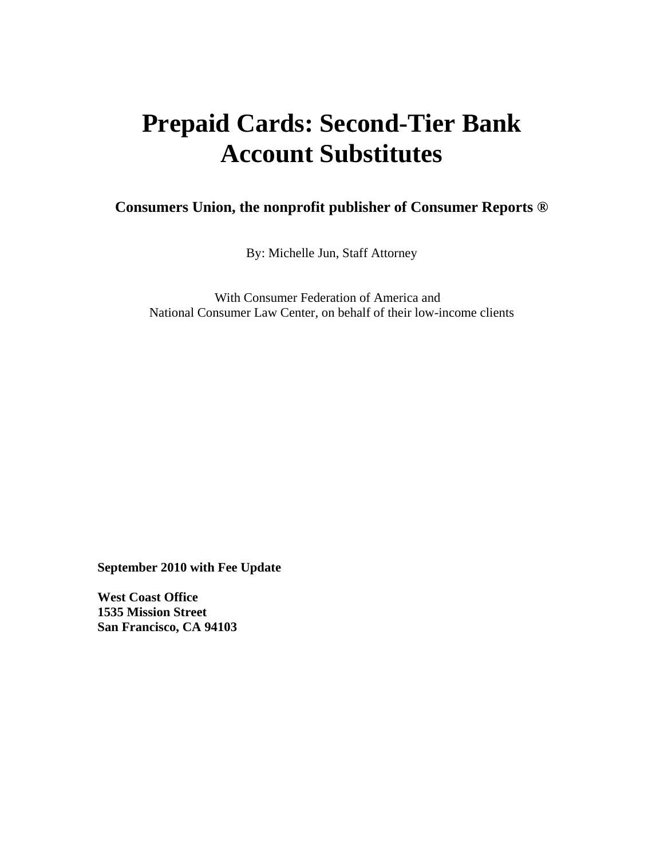# **Prepaid Cards: Second-Tier Bank Account Substitutes**

# **Consumers Union, the nonprofit publisher of Consumer Reports ®**

By: Michelle Jun, Staff Attorney

With Consumer Federation of America and National Consumer Law Center, on behalf of their low-income clients

**September 2010 with Fee Update** 

**West Coast Office 1535 Mission Street San Francisco, CA 94103**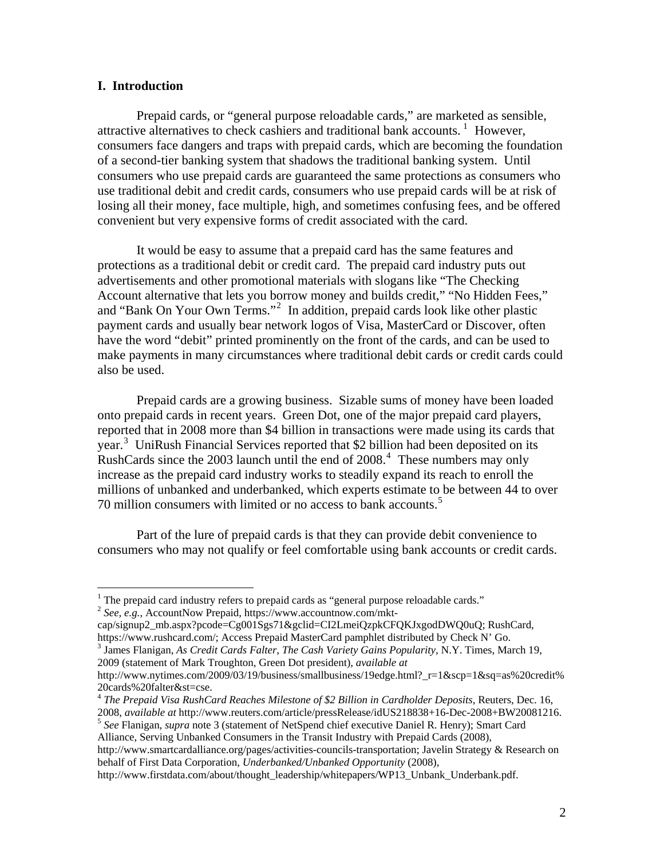# **I. Introduction**

Prepaid cards, or "general purpose reloadable cards," are marketed as sensible, attractive alternatives to check cashiers and traditional bank accounts.<sup>[1](#page-1-0)</sup> However, consumers face dangers and traps with prepaid cards, which are becoming the foundation of a second-tier banking system that shadows the traditional banking system. Until consumers who use prepaid cards are guaranteed the same protections as consumers who use traditional debit and credit cards, consumers who use prepaid cards will be at risk of losing all their money, face multiple, high, and sometimes confusing fees, and be offered convenient but very expensive forms of credit associated with the card.

It would be easy to assume that a prepaid card has the same features and protections as a traditional debit or credit card. The prepaid card industry puts out advertisements and other promotional materials with slogans like "The Checking Account alternative that lets you borrow money and builds credit," "No Hidden Fees," and "Bank On Your Own Terms."<sup>[2](#page-1-1)</sup> In addition, prepaid cards look like other plastic payment cards and usually bear network logos of Visa, MasterCard or Discover, often have the word "debit" printed prominently on the front of the cards, and can be used to make payments in many circumstances where traditional debit cards or credit cards could also be used.

Prepaid cards are a growing business. Sizable sums of money have been loaded onto prepaid cards in recent years. Green Dot, one of the major prepaid card players, reported that in 2008 more than \$4 billion in transactions were made using its cards that year.<sup>[3](#page-1-2)</sup> UniRush Financial Services reported that \$2 billion had been deposited on its RushCards since the 2003 launch until the end of 2008.<sup>[4](#page-1-3)</sup> These numbers may only increase as the prepaid card industry works to steadily expand its reach to enroll the millions of unbanked and underbanked, which experts estimate to be between 44 to over 70 million consumers with limited or no access to bank accounts.[5](#page-1-4)

Part of the lure of prepaid cards is that they can provide debit convenience to consumers who may not qualify or feel comfortable using bank accounts or credit cards.

cap/signup2\_mb.aspx?pcode=Cg001Sgs71&gclid=CI2LmeiQzpkCFQKJxgodDWQ0uQ; RushCard, https://www.rushcard.com/; Access Prepaid MasterCard pamphlet distributed by Check N' Go. 3

<span id="page-1-4"></span>Alliance, Serving Unbanked Consumers in the Transit Industry with Prepaid Cards (2008),

http://www.smartcardalliance.org/pages/activities-councils-transportation; Javelin Strategy & Research on behalf of First Data Corporation, *Underbanked/Unbanked Opportunity* (2008),

 $\frac{1}{1}$ 

<span id="page-1-1"></span><span id="page-1-0"></span><sup>&</sup>lt;sup>2</sup> See, e.g., AccountNow Prepaid, https://www.accountnow.com/mkt-

<span id="page-1-2"></span><sup>&</sup>lt;sup>3</sup> James Flanigan, *As Credit Cards Falter, The Cash Variety Gains Popularity*, N.Y. Times, March 19, 2009 (statement of Mark Troughton, Green Dot president), *available at*

http://www.nytimes.com/2009/03/19/business/smallbusiness/19edge.html?\_r=1&scp=1&sq=as%20credit% 20cards%20falter&st=cse.

<span id="page-1-3"></span><sup>4</sup> *The Prepaid Visa RushCard Reaches Milestone of \$2 Billion in Cardholder Deposits*, Reuters, Dec. 16, 2008, *available at* http://www.reuters.com/article/pressRelease/idUS218838+16-Dec-2008+BW20081216. 5 *See* Flanigan, *supra* note 3 (statement of NetSpend chief executive Daniel R. Henry); Smart Card

http://www.firstdata.com/about/thought\_leadership/whitepapers/WP13\_Unbank\_Underbank.pdf.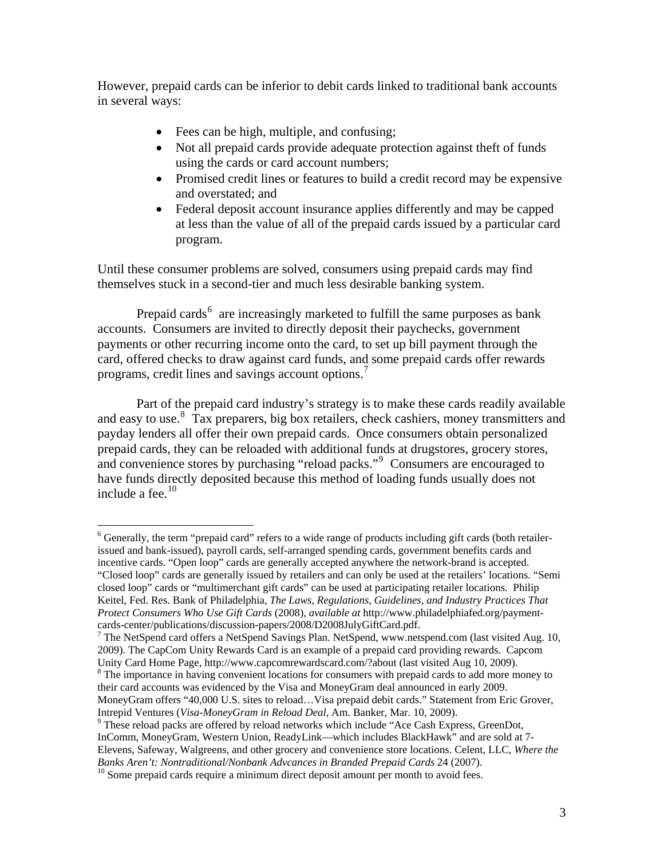However, prepaid cards can be inferior to debit cards linked to traditional bank accounts in several ways:

- Fees can be high, multiple, and confusing;
- Not all prepaid cards provide adequate protection against theft of funds using the cards or card account numbers;
- Promised credit lines or features to build a credit record may be expensive and overstated; and
- Federal deposit account insurance applies differently and may be capped at less than the value of all of the prepaid cards issued by a particular card program.

Until these consumer problems are solved, consumers using prepaid cards may find themselves stuck in a second-tier and much less desirable banking system.

Prepaid cards<sup>[6](#page-2-0)</sup> are increasingly marketed to fulfill the same purposes as bank accounts. Consumers are invited to directly deposit their paychecks, government payments or other recurring income onto the card, to set up bill payment through the card, offered checks to draw against card funds, and some prepaid cards offer rewards programs, credit lines and savings account options.<sup>[7](#page-2-1)</sup>

Part of the prepaid card industry's strategy is to make these cards readily available and easy to use.<sup>[8](#page-2-2)</sup> Tax preparers, big box retailers, check cashiers, money transmitters and payday lenders all offer their own prepaid cards. Once consumers obtain personalized prepaid cards, they can be reloaded with additional funds at drugstores, grocery stores, and convenience stores by purchasing "reload packs."<sup>[9](#page-2-3)</sup> Consumers are encouraged to have funds directly deposited because this method of loading funds usually does not include a fee. $10$ 

1

<span id="page-2-0"></span><sup>&</sup>lt;sup>6</sup> Generally, the term "prepaid card" refers to a wide range of products including gift cards (both retailerissued and bank-issued), payroll cards, self-arranged spending cards, government benefits cards and incentive cards. "Open loop" cards are generally accepted anywhere the network-brand is accepted. "Closed loop" cards are generally issued by retailers and can only be used at the retailers' locations. "Semi closed loop" cards or "multimerchant gift cards" can be used at participating retailer locations. Philip Keitel, Fed. Res. Bank of Philadelphia, *The Laws, Regulations, Guidelines, and Industry Practices That Protect Consumers Who Use Gift Cards* (2008), *available at* http://www.philadelphiafed.org/paymentcards-center/publications/discussion-papers/2008/D2008JulyGiftCard.pdf.

<span id="page-2-1"></span><sup>&</sup>lt;sup>7</sup> The NetSpend card offers a NetSpend Savings Plan. NetSpend, www.netspend.com (last visited Aug. 10, 2009). The CapCom Unity Rewards Card is an example of a prepaid card providing rewards. Capcom

<span id="page-2-2"></span>Unity Card Home Page, http://www.capcomrewardscard.com/?about (last visited Aug 10, 2009). 8 <sup>8</sup> The importance in having convenient locations for consumers with prepaid cards to add more money to their card accounts was evidenced by the Visa and MoneyGram deal announced in early 2009.

MoneyGram offers "40,000 U.S. sites to reload…Visa prepaid debit cards." Statement from Eric Grover, Intrepid Ventures (*Visa-MoneyGram in Reload Deal*, Am. Banker, Mar. 10, 2009). 9

<span id="page-2-3"></span>These reload packs are offered by reload networks which include "Ace Cash Express, GreenDot, InComm, MoneyGram, Western Union, ReadyLink—which includes BlackHawk" and are sold at 7- Elevens, Safeway, Walgreens, and other grocery and convenience store locations. Celent, LLC, *Where the Banks Aren't: Nontraditional/Nonbank Advcances in Branded Prepaid Cards* 24 (2007).<br><sup>10</sup> Some prepaid cards require a minimum direct deposit amount per month to avoid fees.

<span id="page-2-4"></span>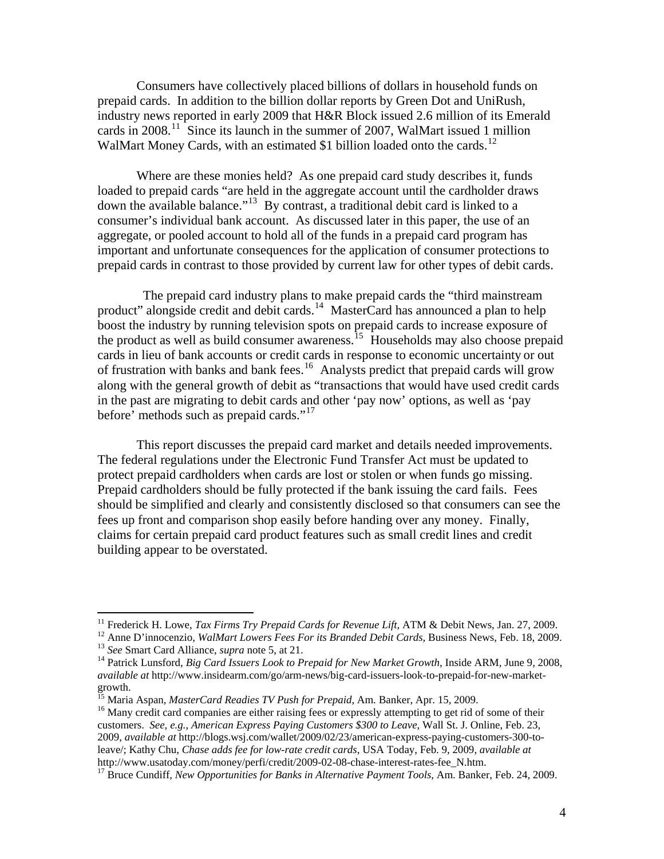Consumers have collectively placed billions of dollars in household funds on prepaid cards. In addition to the billion dollar reports by Green Dot and UniRush, industry news reported in early 2009 that H&R Block issued 2.6 million of its Emerald cards in  $2008$ .<sup>[11](#page-3-0)</sup> Since its launch in the summer of  $2007$ , WalMart issued 1 million WalMart Money Cards, with an estimated \$1 billion loaded onto the cards.<sup>[12](#page-3-1)</sup>

Where are these monies held? As one prepaid card study describes it, funds loaded to prepaid cards "are held in the aggregate account until the cardholder draws down the available balance."<sup>[13](#page-3-2)</sup> By contrast, a traditional debit card is linked to a consumer's individual bank account. As discussed later in this paper, the use of an aggregate, or pooled account to hold all of the funds in a prepaid card program has important and unfortunate consequences for the application of consumer protections to prepaid cards in contrast to those provided by current law for other types of debit cards.

 The prepaid card industry plans to make prepaid cards the "third mainstream product" alongside credit and debit cards.<sup>[14](#page-3-3)</sup> MasterCard has announced a plan to help boost the industry by running television spots on prepaid cards to increase exposure of the product as well as build consumer awareness.<sup>[15](#page-3-4)</sup> Households may also choose prepaid cards in lieu of bank accounts or credit cards in response to economic uncertainty or out of frustration with banks and bank fees.<sup>[16](#page-3-5)</sup> Analysts predict that prepaid cards will grow along with the general growth of debit as "transactions that would have used credit cards in the past are migrating to debit cards and other 'pay now' options, as well as 'pay before' methods such as prepaid cards."<sup>[17](#page-3-6)</sup>

This report discusses the prepaid card market and details needed improvements. The federal regulations under the Electronic Fund Transfer Act must be updated to protect prepaid cardholders when cards are lost or stolen or when funds go missing. Prepaid cardholders should be fully protected if the bank issuing the card fails. Fees should be simplified and clearly and consistently disclosed so that consumers can see the fees up front and comparison shop easily before handing over any money. Finally, claims for certain prepaid card product features such as small credit lines and credit building appear to be overstated.

<span id="page-3-0"></span><sup>&</sup>lt;sup>11</sup> Frederick H. Lowe, Tax Firms Try Prepaid Cards for Revenue Lift, ATM & Debit News, Jan. 27, 2009.

<span id="page-3-2"></span><span id="page-3-1"></span><sup>&</sup>lt;sup>12</sup> Anne D'innocenzio, *WalMart Lowers Fees For its Branded Debit Cards*, Business News, Feb. 18, 2009.<br><sup>13</sup> See Smart Card Alliance, *supra* note 5, at 21.<br><sup>14</sup> Patrick Lunsford, *Big Card Issuers Look to Prepaid for Ne* 

<span id="page-3-3"></span>*available at* http://www.insidearm.com/go/arm-news/big-card-issuers-look-to-prepaid-for-new-marketgrowth.<br><sup>15</sup> Maria Aspan, *MasterCard Readies TV Push for Prepaid*, Am. Banker, Apr. 15, 2009.

<span id="page-3-5"></span><span id="page-3-4"></span><sup>&</sup>lt;sup>16</sup> Many credit card companies are either raising fees or expressly attempting to get rid of some of their customers. *See, e.g.*, *American Express Paying Customers \$300 to Leave*, Wall St. J. Online, Feb. 23, 2009, *available at* http://blogs.wsj.com/wallet/2009/02/23/american-express-paying-customers-300-toleave/; Kathy Chu, *Chase adds fee for low-rate credit cards*, USA Today, Feb. 9, 2009, *available at*  http://www.usatoday.com/money/perfi/credit/2009-02-08-chase-interest-rates-fee\_N.htm. 17 Bruce Cundiff, *New Opportunities for Banks in Alternative Payment Tools*, Am. Banker, Feb. 24, 2009.

<span id="page-3-6"></span>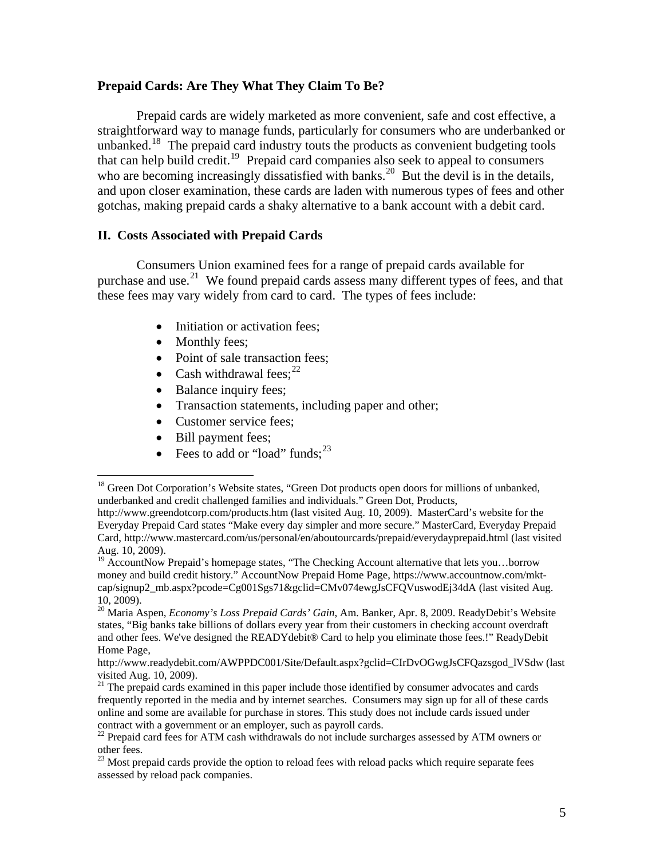## **Prepaid Cards: Are They What They Claim To Be?**

Prepaid cards are widely marketed as more convenient, safe and cost effective, a straightforward way to manage funds, particularly for consumers who are underbanked or unbanked.<sup>[18](#page-4-0)</sup> The prepaid card industry touts the products as convenient budgeting tools that can help build credit.[19](#page-4-1) Prepaid card companies also seek to appeal to consumers who are becoming increasingly dissatisfied with banks.<sup>[20](#page-4-2)</sup> But the devil is in the details, and upon closer examination, these cards are laden with numerous types of fees and other gotchas, making prepaid cards a shaky alternative to a bank account with a debit card.

# **II. Costs Associated with Prepaid Cards**

Consumers Union examined fees for a range of prepaid cards available for purchase and use.<sup>[21](#page-4-3)</sup> We found prepaid cards assess many different types of fees, and that these fees may vary widely from card to card. The types of fees include:

- Initiation or activation fees;
- Monthly fees;
- Point of sale transaction fees;
- Cash withdrawal fees; $^{22}$  $^{22}$  $^{22}$
- Balance inquiry fees;
- Transaction statements, including paper and other;
- Customer service fees;
- Bill payment fees;

 $\overline{a}$ 

• Fees to add or "load" funds; $^{23}$  $^{23}$  $^{23}$ 

<span id="page-4-0"></span><sup>&</sup>lt;sup>18</sup> Green Dot Corporation's Website states, "Green Dot products open doors for millions of unbanked, underbanked and credit challenged families and individuals." Green Dot, Products,

http://www.greendotcorp.com/products.htm (last visited Aug. 10, 2009). MasterCard's website for the Everyday Prepaid Card states "Make every day simpler and more secure." MasterCard, Everyday Prepaid Card, http://www.mastercard.com/us/personal/en/aboutourcards/prepaid/everydayprepaid.html (last visited Aug. 10, 2009).

<span id="page-4-1"></span> $19$  AccountNow Prepaid's homepage states, "The Checking Account alternative that lets you...borrow money and build credit history." AccountNow Prepaid Home Page, https://www.accountnow.com/mktcap/signup2\_mb.aspx?pcode=Cg001Sgs71&gclid=CMv074ewgJsCFQVuswodEj34dA (last visited Aug. 10, 2009).

<span id="page-4-2"></span><sup>20</sup> Maria Aspen, *Economy's Loss Prepaid Cards' Gain*, Am. Banker, Apr. 8, 2009. ReadyDebit's Website states, "Big banks take billions of dollars every year from their customers in checking account overdraft and other fees. We've designed the READYdebit® Card to help you eliminate those fees.!" ReadyDebit Home Page,

http://www.readydebit.com/AWPPDC001/Site/Default.aspx?gclid=CIrDvOGwgJsCFQazsgod\_lVSdw (last visited Aug. 10, 2009).

<span id="page-4-3"></span> $21$  The prepaid cards examined in this paper include those identified by consumer advocates and cards frequently reported in the media and by internet searches. Consumers may sign up for all of these cards online and some are available for purchase in stores. This study does not include cards issued under contract with a government or an employer, such as payroll cards.

<span id="page-4-4"></span><sup>&</sup>lt;sup>22</sup> Prepaid card fees for ATM cash withdrawals do not include surcharges assessed by ATM owners or other fees.

<span id="page-4-5"></span><sup>&</sup>lt;sup>23</sup> Most prepaid cards provide the option to reload fees with reload packs which require separate fees assessed by reload pack companies.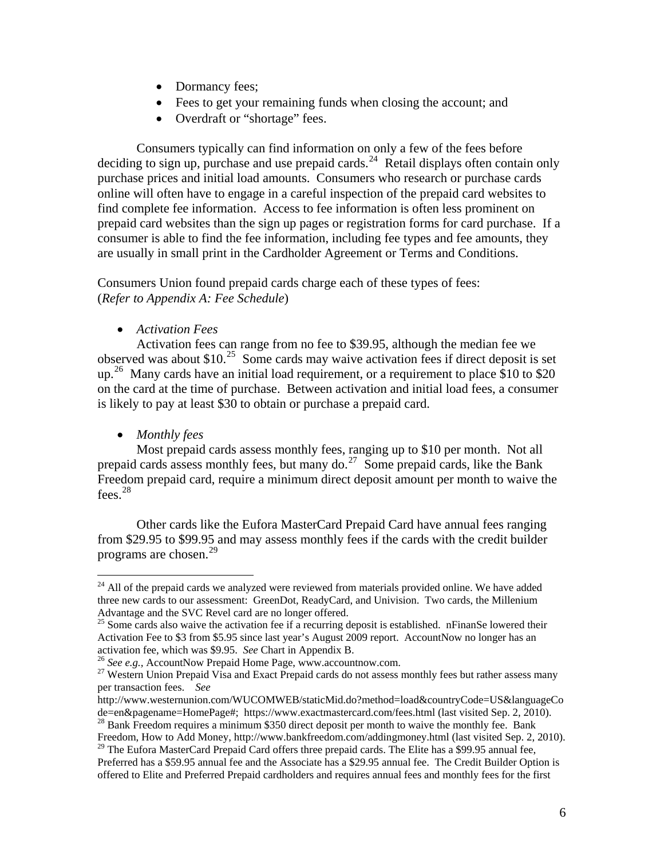- Dormancy fees;
- Fees to get your remaining funds when closing the account; and
- Overdraft or "shortage" fees.

Consumers typically can find information on only a few of the fees before deciding to sign up, purchase and use prepaid cards.<sup>[24](#page-5-0)</sup> Retail displays often contain only purchase prices and initial load amounts. Consumers who research or purchase cards online will often have to engage in a careful inspection of the prepaid card websites to find complete fee information. Access to fee information is often less prominent on prepaid card websites than the sign up pages or registration forms for card purchase. If a consumer is able to find the fee information, including fee types and fee amounts, they are usually in small print in the Cardholder Agreement or Terms and Conditions.

Consumers Union found prepaid cards charge each of these types of fees: (*Refer to Appendix A: Fee Schedule*)

• *Activation Fees* 

Activation fees can range from no fee to \$39.95, although the median fee we observed was about  $$10<sup>25</sup>$  $$10<sup>25</sup>$  $$10<sup>25</sup>$  Some cards may waive activation fees if direct deposit is set up.<sup>[26](#page-5-2)</sup> Many cards have an initial load requirement, or a requirement to place \$10 to \$20 on the card at the time of purchase. Between activation and initial load fees, a consumer is likely to pay at least \$30 to obtain or purchase a prepaid card.

• *Monthly fees* 

 $\overline{a}$ 

Most prepaid cards assess monthly fees, ranging up to \$10 per month. Not all prepaid cards assess monthly fees, but many do.<sup>[27](#page-5-3)</sup> Some prepaid cards, like the Bank Freedom prepaid card, require a minimum direct deposit amount per month to waive the fees. $^{28}$  $^{28}$  $^{28}$ 

Other cards like the Eufora MasterCard Prepaid Card have annual fees ranging from \$29.95 to \$99.95 and may assess monthly fees if the cards with the credit builder programs are chosen. $^{29}$  $^{29}$  $^{29}$ 

<span id="page-5-0"></span><sup>&</sup>lt;sup>24</sup> All of the prepaid cards we analyzed were reviewed from materials provided online. We have added three new cards to our assessment: GreenDot, ReadyCard, and Univision. Two cards, the Millenium Advantage and the SVC Revel card are no longer offered.

<span id="page-5-1"></span> $25$  Some cards also waive the activation fee if a recurring deposit is established. nFinanSe lowered their Activation Fee to \$3 from \$5.95 since last year's August 2009 report. AccountNow no longer has an activation fee, which was \$9.95. See Chart in Appendix B.<br><sup>26</sup> See e.g., AccountNow Prepaid Home Page, www.accountnow.com.<br><sup>27</sup> Western Union Prepaid Visa and Exact Prepaid cards do not assess monthly fees but rather asses

<span id="page-5-3"></span><span id="page-5-2"></span>per transaction fees. *See* 

http://www.westernunion.com/WUCOMWEB/staticMid.do?method=load&countryCode=US&languageCo de=en&pagename=HomePage#; https://www.exactmastercard.com/fees.html (last visited Sep. 2, 2010).<br><sup>28</sup> Bank Freedom requires a minimum \$350 direct deposit per month to waive the monthly fee. Bank

<span id="page-5-4"></span>Freedom, How to Add Money, http://www.bankfreedom.com/addingmoney.html (last visited Sep. 2, 2010).

<span id="page-5-5"></span><sup>&</sup>lt;sup>29</sup> The Eufora MasterCard Prepaid Card offers three prepaid cards. The Elite has a \$99.95 annual fee, Preferred has a \$59.95 annual fee and the Associate has a \$29.95 annual fee. The Credit Builder Option is offered to Elite and Preferred Prepaid cardholders and requires annual fees and monthly fees for the first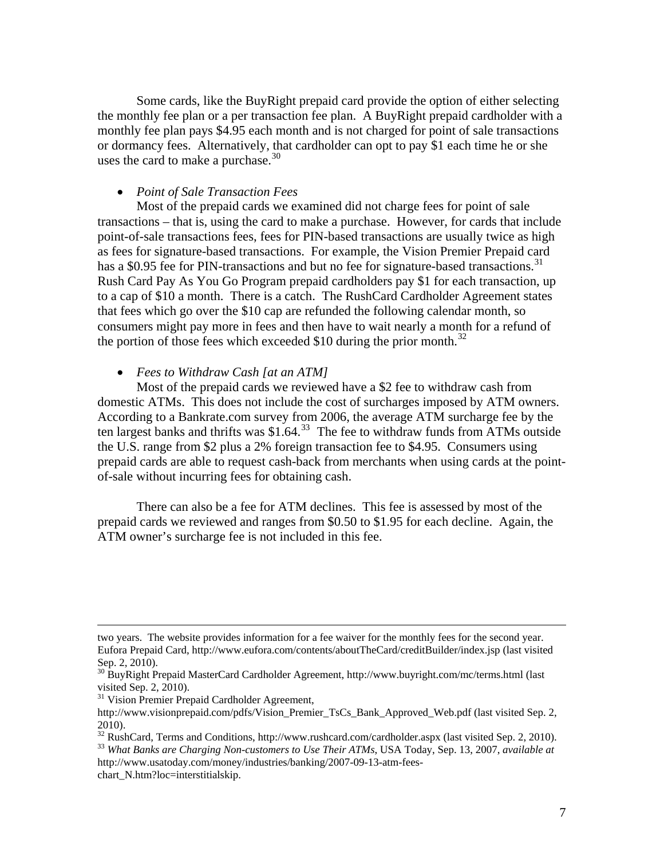Some cards, like the BuyRight prepaid card provide the option of either selecting the monthly fee plan or a per transaction fee plan. A BuyRight prepaid cardholder with a monthly fee plan pays \$4.95 each month and is not charged for point of sale transactions or dormancy fees. Alternatively, that cardholder can opt to pay \$1 each time he or she uses the card to make a purchase.<sup>[30](#page-6-0)</sup>

#### • *Point of Sale Transaction Fees*

Most of the prepaid cards we examined did not charge fees for point of sale transactions – that is, using the card to make a purchase. However, for cards that include point-of-sale transactions fees, fees for PIN-based transactions are usually twice as high as fees for signature-based transactions. For example, the Vision Premier Prepaid card has a \$0.95 fee for PIN-transactions and but no fee for signature-based transactions.<sup>[31](#page-6-1)</sup> Rush Card Pay As You Go Program prepaid cardholders pay \$1 for each transaction, up to a cap of \$10 a month. There is a catch. The RushCard Cardholder Agreement states that fees which go over the \$10 cap are refunded the following calendar month, so consumers might pay more in fees and then have to wait nearly a month for a refund of the portion of those fees which exceeded \$10 during the prior month.<sup>[32](#page-6-2)</sup>

• *Fees to Withdraw Cash [at an ATM]* 

Most of the prepaid cards we reviewed have a \$2 fee to withdraw cash from domestic ATMs. This does not include the cost of surcharges imposed by ATM owners. According to a Bankrate.com survey from 2006, the average ATM surcharge fee by the ten largest banks and thrifts was \$1.64.<sup>[33](#page-6-3)</sup> The fee to withdraw funds from ATMs outside the U.S. range from \$2 plus a 2% foreign transaction fee to \$4.95. Consumers using prepaid cards are able to request cash-back from merchants when using cards at the pointof-sale without incurring fees for obtaining cash.

There can also be a fee for ATM declines. This fee is assessed by most of the prepaid cards we reviewed and ranges from \$0.50 to \$1.95 for each decline. Again, the ATM owner's surcharge fee is not included in this fee.

<span id="page-6-1"></span><sup>31</sup> Vision Premier Prepaid Cardholder Agreement,

<span id="page-6-3"></span><span id="page-6-2"></span>32 RushCard, Terms and Conditions, http://www.rushcard.com/cardholder.aspx (last visited Sep. 2, 2010). 33 *What Banks are Charging Non-customers to Use Their ATMs*, USA Today, Sep. 13, 2007, *available at* http://www.usatoday.com/money/industries/banking/2007-09-13-atm-fees-

two years. The website provides information for a fee waiver for the monthly fees for the second year. Eufora Prepaid Card, http://www.eufora.com/contents/aboutTheCard/creditBuilder/index.jsp (last visited Sep. 2, 2010).

<span id="page-6-0"></span><sup>&</sup>lt;sup>30</sup> BuyRight Prepaid MasterCard Cardholder Agreement, http://www.buyright.com/mc/terms.html (last visited Sep. 2, 2010).

http://www.visionprepaid.com/pdfs/Vision\_Premier\_TsCs\_Bank\_Approved\_Web.pdf (last visited Sep. 2, 2010).

chart\_N.htm?loc=interstitialskip.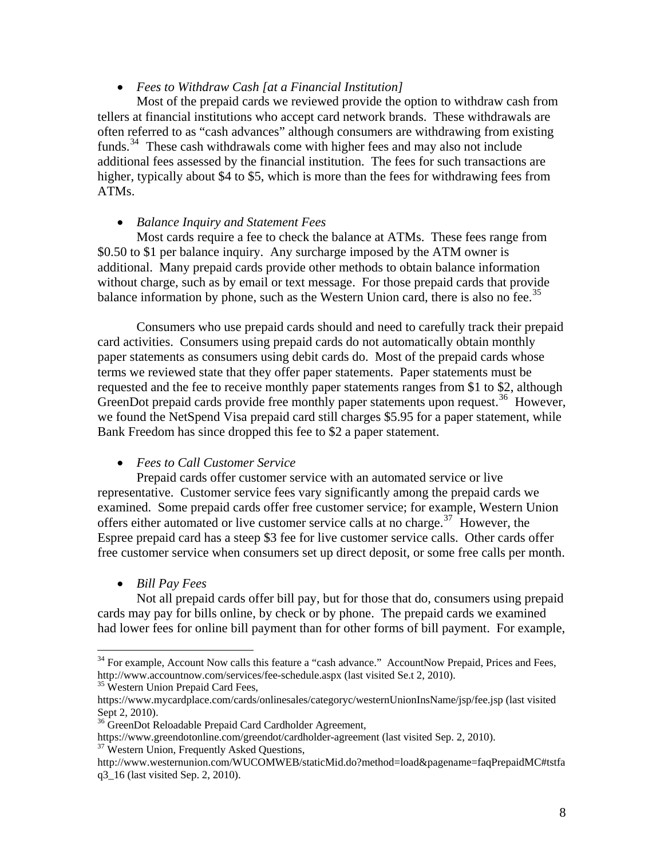# • *Fees to Withdraw Cash [at a Financial Institution]*

Most of the prepaid cards we reviewed provide the option to withdraw cash from tellers at financial institutions who accept card network brands. These withdrawals are often referred to as "cash advances" although consumers are withdrawing from existing funds.<sup>[34](#page-7-0)</sup> These cash withdrawals come with higher fees and may also not include additional fees assessed by the financial institution. The fees for such transactions are higher, typically about \$4 to \$5, which is more than the fees for withdrawing fees from ATMs.

# • *Balance Inquiry and Statement Fees*

Most cards require a fee to check the balance at ATMs. These fees range from \$0.50 to \$1 per balance inquiry. Any surcharge imposed by the ATM owner is additional. Many prepaid cards provide other methods to obtain balance information without charge, such as by email or text message. For those prepaid cards that provide balance information by phone, such as the Western Union card, there is also no fee.<sup>[35](#page-7-1)</sup>

Consumers who use prepaid cards should and need to carefully track their prepaid card activities. Consumers using prepaid cards do not automatically obtain monthly paper statements as consumers using debit cards do. Most of the prepaid cards whose terms we reviewed state that they offer paper statements. Paper statements must be requested and the fee to receive monthly paper statements ranges from \$1 to \$2, although GreenDot prepaid cards provide free monthly paper statements upon request.<sup>[36](#page-7-2)</sup> However, we found the NetSpend Visa prepaid card still charges \$5.95 for a paper statement, while Bank Freedom has since dropped this fee to \$2 a paper statement.

# • *Fees to Call Customer Service*

Prepaid cards offer customer service with an automated service or live representative. Customer service fees vary significantly among the prepaid cards we examined. Some prepaid cards offer free customer service; for example, Western Union offers either automated or live customer service calls at no charge.<sup>[37](#page-7-3)</sup> However, the Espree prepaid card has a steep \$3 fee for live customer service calls. Other cards offer free customer service when consumers set up direct deposit, or some free calls per month.

• *Bill Pay Fees* 

 $\overline{a}$ 

Not all prepaid cards offer bill pay, but for those that do, consumers using prepaid cards may pay for bills online, by check or by phone. The prepaid cards we examined had lower fees for online bill payment than for other forms of bill payment. For example,

<span id="page-7-0"></span><sup>&</sup>lt;sup>34</sup> For example, Account Now calls this feature a "cash advance." AccountNow Prepaid, Prices and Fees, http://www.accountnow.com/services/fee-schedule.aspx (last visited Se.t 2, 2010). <sup>35</sup> Western Union Prepaid Card Fees,

<span id="page-7-1"></span>

https://www.mycardplace.com/cards/onlinesales/categoryc/westernUnionInsName/jsp/fee.jsp (last visited Sept 2, 2010).

<span id="page-7-2"></span><sup>&</sup>lt;sup>36</sup> GreenDot Reloadable Prepaid Card Cardholder Agreement,

<span id="page-7-3"></span>https://www.greendotonline.com/greendot/cardholder-agreement (last visited Sep. 2, 2010). <sup>37</sup> Western Union, Frequently Asked Questions,

http://www.westernunion.com/WUCOMWEB/staticMid.do?method=load&pagename=faqPrepaidMC#tstfa q3\_16 (last visited Sep. 2, 2010).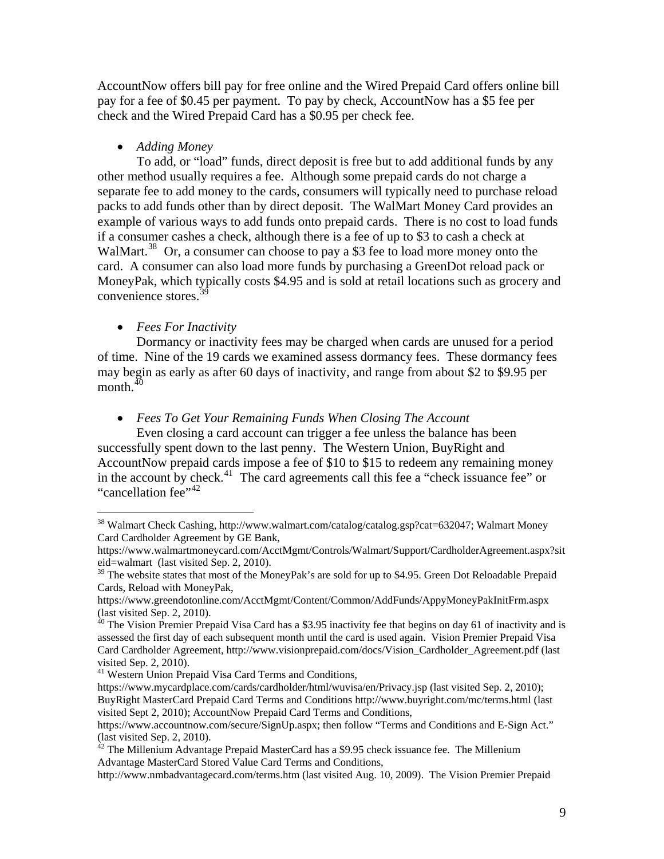AccountNow offers bill pay for free online and the Wired Prepaid Card offers online bill pay for a fee of \$0.45 per payment. To pay by check, AccountNow has a \$5 fee per check and the Wired Prepaid Card has a \$0.95 per check fee.

• *Adding Money* 

To add, or "load" funds, direct deposit is free but to add additional funds by any other method usually requires a fee. Although some prepaid cards do not charge a separate fee to add money to the cards, consumers will typically need to purchase reload packs to add funds other than by direct deposit. The WalMart Money Card provides an example of various ways to add funds onto prepaid cards. There is no cost to load funds if a consumer cashes a check, although there is a fee of up to \$3 to cash a check at WalMart.<sup>[38](#page-8-0)</sup> Or, a consumer can choose to pay a \$3 fee to load more money onto the card. A consumer can also load more funds by purchasing a GreenDot reload pack or MoneyPak, which typically costs \$4.95 and is sold at retail locations such as grocery and convenience stores.<sup>[39](#page-8-1)</sup>

• *Fees For Inactivity* 

 $\overline{a}$ 

Dormancy or inactivity fees may be charged when cards are unused for a period of time. Nine of the 19 cards we examined assess dormancy fees. These dormancy fees may begin as early as after 60 days of inactivity, and range from about \$2 to \$9.95 per month. $40$ 

• *Fees To Get Your Remaining Funds When Closing The Account* 

Even closing a card account can trigger a fee unless the balance has been successfully spent down to the last penny. The Western Union, BuyRight and AccountNow prepaid cards impose a fee of \$10 to \$15 to redeem any remaining money in the account by check.<sup>[41](#page-8-3)</sup> The card agreements call this fee a "check issuance fee" or "cancellation fee"<sup>[42](#page-8-4)</sup>

<span id="page-8-0"></span><sup>38</sup> Walmart Check Cashing, http://www.walmart.com/catalog/catalog.gsp?cat=632047; Walmart Money Card Cardholder Agreement by GE Bank,

https://www.walmartmoneycard.com/AcctMgmt/Controls/Walmart/Support/CardholderAgreement.aspx?sit eid=walmart (last visited Sep. 2, 2010).

<span id="page-8-1"></span><sup>&</sup>lt;sup>39</sup> The website states that most of the MoneyPak's are sold for up to \$4.95. Green Dot Reloadable Prepaid Cards, Reload with MoneyPak,

https://www.greendotonline.com/AcctMgmt/Content/Common/AddFunds/AppyMoneyPakInitFrm.aspx (last visited Sep. 2, 2010).

<span id="page-8-2"></span><sup>&</sup>lt;sup>40</sup> The Vision Premier Prepaid Visa Card has a \$3.95 inactivity fee that begins on day 61 of inactivity and is assessed the first day of each subsequent month until the card is used again. Vision Premier Prepaid Visa Card Cardholder Agreement, http://www.visionprepaid.com/docs/Vision\_Cardholder\_Agreement.pdf (last visited Sep. 2, 2010).

<span id="page-8-3"></span><sup>41</sup> Western Union Prepaid Visa Card Terms and Conditions,

https://www.mycardplace.com/cards/cardholder/html/wuvisa/en/Privacy.jsp (last visited Sep. 2, 2010); BuyRight MasterCard Prepaid Card Terms and Conditions http://www.buyright.com/mc/terms.html (last visited Sept 2, 2010); AccountNow Prepaid Card Terms and Conditions,

https://www.accountnow.com/secure/SignUp.aspx; then follow "Terms and Conditions and E-Sign Act." (last visited Sep. 2, 2010).

<span id="page-8-4"></span> $42$  The Millenium Advantage Prepaid MasterCard has a \$9.95 check issuance fee. The Millenium Advantage MasterCard Stored Value Card Terms and Conditions,

http://www.nmbadvantagecard.com/terms.htm (last visited Aug. 10, 2009). The Vision Premier Prepaid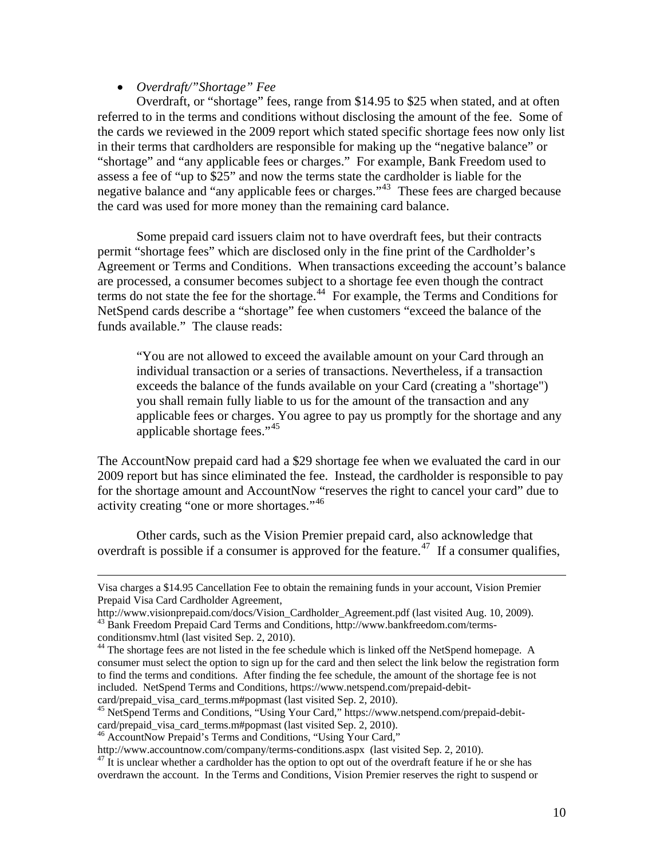# • *Overdraft/"Shortage" Fee*

Overdraft, or "shortage" fees, range from \$14.95 to \$25 when stated, and at often referred to in the terms and conditions without disclosing the amount of the fee. Some of the cards we reviewed in the 2009 report which stated specific shortage fees now only list in their terms that cardholders are responsible for making up the "negative balance" or "shortage" and "any applicable fees or charges." For example, Bank Freedom used to assess a fee of "up to \$25" and now the terms state the cardholder is liable for the negative balance and "any applicable fees or charges."[43](#page-9-0) These fees are charged because the card was used for more money than the remaining card balance.

Some prepaid card issuers claim not to have overdraft fees, but their contracts permit "shortage fees" which are disclosed only in the fine print of the Cardholder's Agreement or Terms and Conditions. When transactions exceeding the account's balance are processed, a consumer becomes subject to a shortage fee even though the contract terms do not state the fee for the shortage.<sup>[44](#page-9-1)</sup> For example, the Terms and Conditions for NetSpend cards describe a "shortage" fee when customers "exceed the balance of the funds available." The clause reads:

"You are not allowed to exceed the available amount on your Card through an individual transaction or a series of transactions. Nevertheless, if a transaction exceeds the balance of the funds available on your Card (creating a "shortage") you shall remain fully liable to us for the amount of the transaction and any applicable fees or charges. You agree to pay us promptly for the shortage and any applicable shortage fees."[45](#page-9-2)

The AccountNow prepaid card had a \$29 shortage fee when we evaluated the card in our 2009 report but has since eliminated the fee. Instead, the cardholder is responsible to pay for the shortage amount and AccountNow "reserves the right to cancel your card" due to activity creating "one or more shortages."<sup>[46](#page-9-3)</sup>

Other cards, such as the Vision Premier prepaid card, also acknowledge that overdraft is possible if a consumer is approved for the feature.<sup>[47](#page-9-4)</sup> If a consumer qualifies,

<span id="page-9-2"></span><sup>45</sup> NetSpend Terms and Conditions, "Using Your Card," https://www.netspend.com/prepaid-debitcard/prepaid\_visa\_card\_terms.m#popmast (last visited Sep. 2, 2010). 46 AccountNow Prepaid's Terms and Conditions, "Using Your Card,"

Visa charges a \$14.95 Cancellation Fee to obtain the remaining funds in your account, Vision Premier Prepaid Visa Card Cardholder Agreement,

<span id="page-9-0"></span>http://www.visionprepaid.com/docs/Vision\_Cardholder\_Agreement.pdf (last visited Aug. 10, 2009).<br><sup>43</sup> Bank Freedom Prepaid Card Terms and Conditions, http://www.bankfreedom.com/termsconditionsmv.html (last visited Sep. 2, 2010).

<span id="page-9-1"></span><sup>&</sup>lt;sup>44</sup> The shortage fees are not listed in the fee schedule which is linked off the NetSpend homepage. A consumer must select the option to sign up for the card and then select the link below the registration form to find the terms and conditions. After finding the fee schedule, the amount of the shortage fee is not included. NetSpend Terms and Conditions, https://www.netspend.com/prepaid-debit-<br>card/prepaid\_visa\_card\_terms.m#popmast (last visited Sep. 2, 2010).

<span id="page-9-4"></span><span id="page-9-3"></span>http://www.accountnow.com/company/terms-conditions.aspx (last visited Sep. 2, 2010).<br><sup>47</sup> It is unclear whether a cardholder has the option to opt out of the overdraft feature if he or she has overdrawn the account. In the Terms and Conditions, Vision Premier reserves the right to suspend or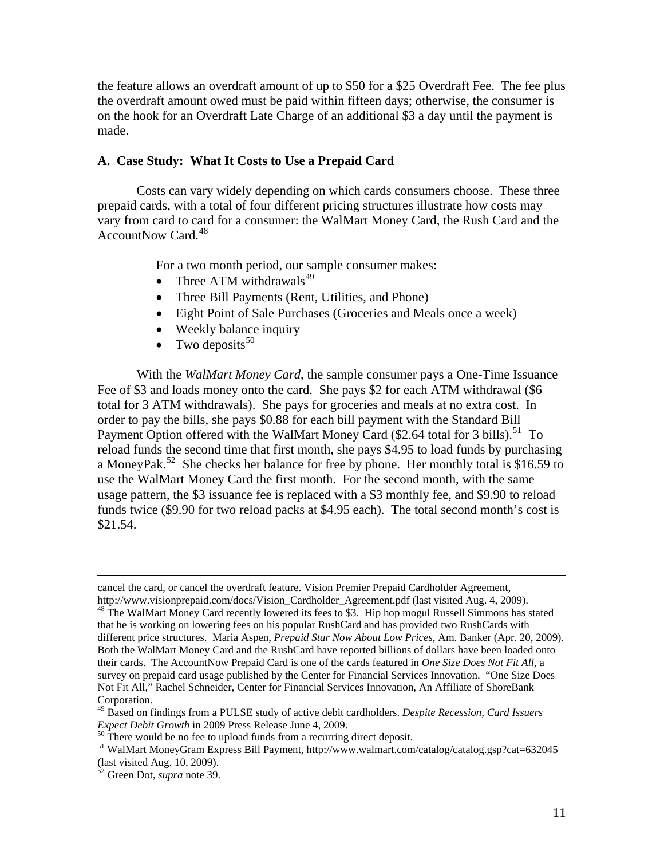the feature allows an overdraft amount of up to \$50 for a \$25 Overdraft Fee. The fee plus the overdraft amount owed must be paid within fifteen days; otherwise, the consumer is on the hook for an Overdraft Late Charge of an additional \$3 a day until the payment is made.

# **A. Case Study: What It Costs to Use a Prepaid Card**

Costs can vary widely depending on which cards consumers choose. These three prepaid cards, with a total of four different pricing structures illustrate how costs may vary from card to card for a consumer: the WalMart Money Card, the Rush Card and the AccountNow Card.<sup>[48](#page-10-0)</sup>

For a two month period, our sample consumer makes:

- Three ATM withdrawals<sup>[49](#page-10-1)</sup>
- Three Bill Payments (Rent, Utilities, and Phone)
- Eight Point of Sale Purchases (Groceries and Meals once a week)
- Weekly balance inquiry
- Two deposits<sup>[50](#page-10-2)</sup>

With the *WalMart Money Card*, the sample consumer pays a One-Time Issuance Fee of \$3 and loads money onto the card. She pays \$2 for each ATM withdrawal (\$6 total for 3 ATM withdrawals). She pays for groceries and meals at no extra cost. In order to pay the bills, she pays \$0.88 for each bill payment with the Standard Bill Payment Option offered with the WalMart Money Card (\$2.64 total for 3 bills).<sup>[51](#page-10-3)</sup> To reload funds the second time that first month, she pays \$4.95 to load funds by purchasing a MoneyPak.[52](#page-10-4) She checks her balance for free by phone. Her monthly total is \$16.59 to use the WalMart Money Card the first month. For the second month, with the same usage pattern, the \$3 issuance fee is replaced with a \$3 monthly fee, and \$9.90 to reload funds twice (\$9.90 for two reload packs at \$4.95 each). The total second month's cost is \$21.54.

cancel the card, or cancel the overdraft feature. Vision Premier Prepaid Cardholder Agreement,

<span id="page-10-0"></span>http://www.visionprepaid.com/docs/Vision\_Cardholder\_Agreement.pdf (last visited Aug. 4, 2009).<br><sup>48</sup> The WalMart Money Card recently lowered its fees to \$3. Hip hop mogul Russell Simmons has stated that he is working on lowering fees on his popular RushCard and has provided two RushCards with different price structures. Maria Aspen, *Prepaid Star Now About Low Prices*, Am. Banker (Apr. 20, 2009). Both the WalMart Money Card and the RushCard have reported billions of dollars have been loaded onto their cards. The AccountNow Prepaid Card is one of the cards featured in *One Size Does Not Fit All*, a survey on prepaid card usage published by the Center for Financial Services Innovation. "One Size Does Not Fit All," Rachel Schneider, Center for Financial Services Innovation, An Affiliate of ShoreBank Corporation.

<span id="page-10-1"></span><sup>49</sup> Based on findings from a PULSE study of active debit cardholders. *Despite Recession, Card Issuers Expect Debit Growth* in 2009 Press Release June 4, 2009.<br><sup>50</sup> There would be no fee to upload funds from a recurring direct deposit.

<span id="page-10-3"></span><span id="page-10-2"></span><sup>51</sup> WalMart MoneyGram Express Bill Payment, http://www.walmart.com/catalog/catalog.gsp?cat=632045 (last visited Aug. 10, 2009).

<span id="page-10-4"></span><sup>52</sup> Green Dot, *supra* note 39.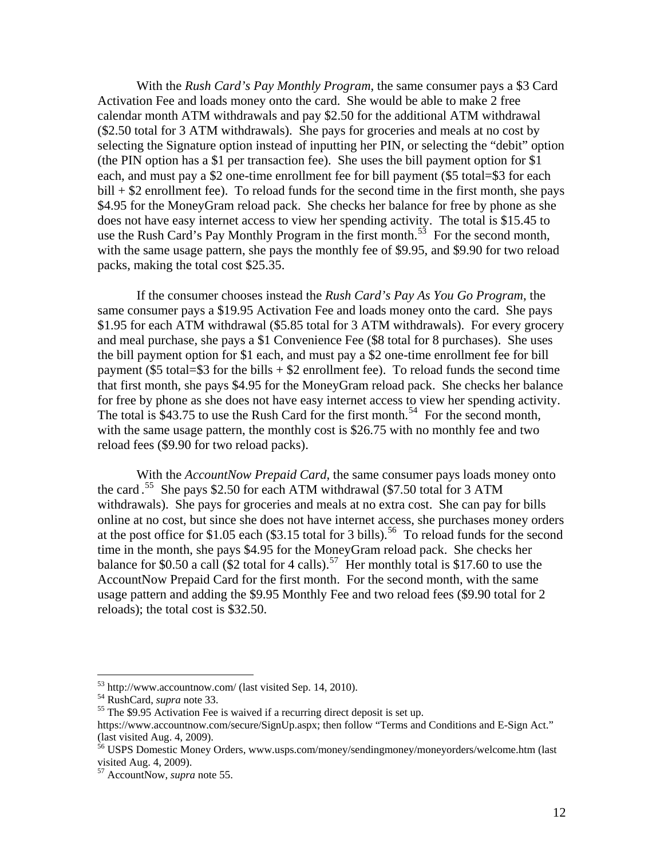With the *Rush Card's Pay Monthly Program*, the same consumer pays a \$3 Card Activation Fee and loads money onto the card. She would be able to make 2 free calendar month ATM withdrawals and pay \$2.50 for the additional ATM withdrawal (\$2.50 total for 3 ATM withdrawals). She pays for groceries and meals at no cost by selecting the Signature option instead of inputting her PIN, or selecting the "debit" option (the PIN option has a \$1 per transaction fee). She uses the bill payment option for \$1 each, and must pay a \$2 one-time enrollment fee for bill payment (\$5 total=\$3 for each  $\text{bill} + $2$  enrollment fee). To reload funds for the second time in the first month, she pays \$4.95 for the MoneyGram reload pack. She checks her balance for free by phone as she does not have easy internet access to view her spending activity. The total is \$15.45 to use the Rush Card's Pay Monthly Program in the first month.<sup>[53](#page-11-0)</sup> For the second month, with the same usage pattern, she pays the monthly fee of \$9.95, and \$9.90 for two reload packs, making the total cost \$25.35.

If the consumer chooses instead the *Rush Card's Pay As You Go Program*, the same consumer pays a \$19.95 Activation Fee and loads money onto the card. She pays \$1.95 for each ATM withdrawal (\$5.85 total for 3 ATM withdrawals). For every grocery and meal purchase, she pays a \$1 Convenience Fee (\$8 total for 8 purchases). She uses the bill payment option for \$1 each, and must pay a \$2 one-time enrollment fee for bill payment ( $$5$  total= $$3$  for the bills  $+ $2$  enrollment fee). To reload funds the second time that first month, she pays \$4.95 for the MoneyGram reload pack. She checks her balance for free by phone as she does not have easy internet access to view her spending activity. The total is \$43.75 to use the Rush Card for the first month.<sup>[54](#page-11-1)</sup> For the second month, with the same usage pattern, the monthly cost is \$26.75 with no monthly fee and two reload fees (\$9.90 for two reload packs).

With the *AccountNow Prepaid Card*, the same consumer pays loads money onto the card.<sup>[55](#page-11-2)</sup> She pays \$2.50 for each ATM withdrawal (\$7.50 total for 3 ATM withdrawals). She pays for groceries and meals at no extra cost. She can pay for bills online at no cost, but since she does not have internet access, she purchases money orders at the post office for \$1.05 each (\$3.15 total for 3 bills).<sup>[56](#page-11-3)</sup> To reload funds for the second time in the month, she pays \$4.95 for the MoneyGram reload pack. She checks her balance for \$0.50 a call (\$2 total for 4 calls).<sup>[57](#page-11-4)</sup> Her monthly total is \$17.60 to use the AccountNow Prepaid Card for the first month. For the second month, with the same usage pattern and adding the \$9.95 Monthly Fee and two reload fees (\$9.90 total for 2 reloads); the total cost is \$32.50.

<span id="page-11-0"></span><sup>&</sup>lt;sup>53</sup> http://www.accountnow.com/ (last visited Sep. 14, 2010).

<span id="page-11-1"></span><sup>&</sup>lt;sup>54</sup> RushCard, *supra* note 33.<br><sup>55</sup> The \$9.95 Activation Fee is waived if a recurring direct deposit is set up.

<span id="page-11-2"></span>https://www.accountnow.com/secure/SignUp.aspx; then follow "Terms and Conditions and E-Sign Act." (last visited Aug. 4, 2009).

<span id="page-11-3"></span> $56$  USPS Domestic Money Orders, www.usps.com/money/sendingmoney/moneyorders/welcome.htm (last visited Aug. 4, 2009).

<span id="page-11-4"></span><sup>57</sup> AccountNow, *supra* note 55.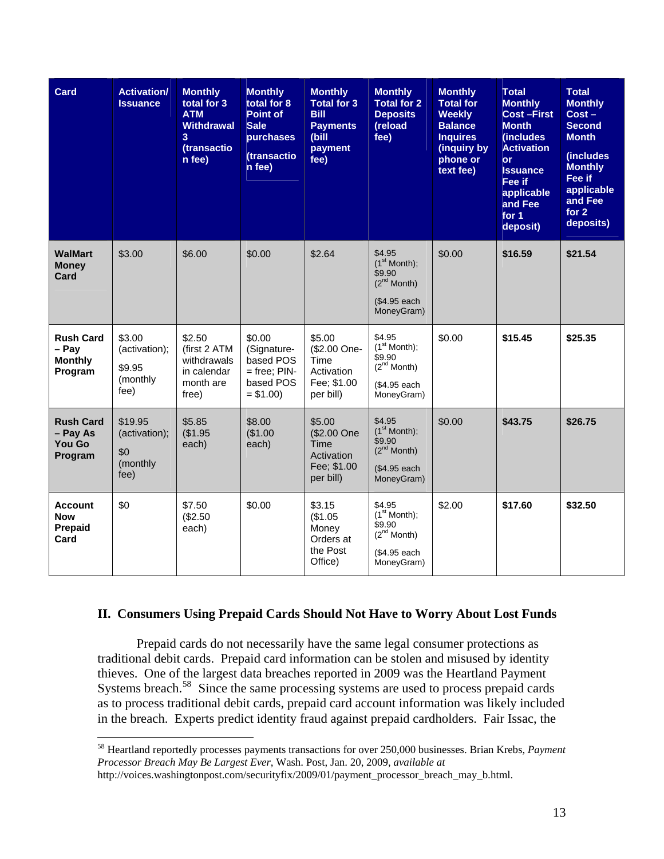| <b>Card</b>                                            | <b>Activation/</b><br><b>Issuance</b>                 | <b>Monthly</b><br>total for 3<br><b>ATM</b><br><b>Withdrawal</b><br>$\overline{3}$<br>(transactio<br>n fee) | <b>Monthly</b><br>total for 8<br>Point of<br><b>Sale</b><br>purchases<br>(transactio<br>n fee) | <b>Monthly</b><br><b>Total for 3</b><br><b>Bill</b><br><b>Payments</b><br>(bill<br>payment<br>fee) | <b>Monthly</b><br><b>Total for 2</b><br><b>Deposits</b><br>(reload<br>fee)                     | <b>Monthly</b><br><b>Total for</b><br><b>Weekly</b><br><b>Balance</b><br><b>Inquires</b><br>(inquiry by<br>phone or<br>text fee) | <b>Total</b><br><b>Monthly</b><br><b>Cost-First</b><br><b>Month</b><br>(includes<br><b>Activation</b><br><b>or</b><br><b>Issuance</b><br>Fee if<br>applicable<br>and Fee<br>for 1<br>deposit) | <b>Total</b><br><b>Monthly</b><br>$Cost -$<br><b>Second</b><br><b>Month</b><br><i><b>(includes)</b></i><br><b>Monthly</b><br>Fee if<br>applicable<br>and Fee<br>for 2<br>deposits) |
|--------------------------------------------------------|-------------------------------------------------------|-------------------------------------------------------------------------------------------------------------|------------------------------------------------------------------------------------------------|----------------------------------------------------------------------------------------------------|------------------------------------------------------------------------------------------------|----------------------------------------------------------------------------------------------------------------------------------|-----------------------------------------------------------------------------------------------------------------------------------------------------------------------------------------------|------------------------------------------------------------------------------------------------------------------------------------------------------------------------------------|
| <b>WalMart</b><br><b>Money</b><br>Card                 | \$3.00                                                | \$6.00                                                                                                      | \$0.00                                                                                         | \$2.64                                                                                             | \$4.95<br>$(1st$ Month);<br>\$9.90<br>$(2^{nd}$ Month)<br>(\$4.95 each<br>MoneyGram)           | \$0.00                                                                                                                           | \$16.59                                                                                                                                                                                       | \$21.54                                                                                                                                                                            |
| <b>Rush Card</b><br>- Pay<br><b>Monthly</b><br>Program | \$3.00<br>(activation);<br>\$9.95<br>(monthly<br>fee) | \$2.50<br>(first 2 ATM<br>withdrawals<br>in calendar<br>month are<br>free)                                  | \$0.00<br>(Signature-<br>based POS<br>$=$ free; PIN-<br>based POS<br>$= $1.00$                 | \$5.00<br>(\$2.00 One-<br>Time<br>Activation<br>Fee; \$1.00<br>per bill)                           | \$4.95<br>(1 <sup>st</sup> Month);<br>\$9.90<br>$(2^{nd}$ Month)<br>(\$4.95 each<br>MoneyGram) | \$0.00                                                                                                                           | \$15.45                                                                                                                                                                                       | \$25.35                                                                                                                                                                            |
| <b>Rush Card</b><br>- Pay As<br>You Go<br>Program      | \$19.95<br>(activation);<br>\$0<br>(monthly<br>fee)   | \$5.85<br>(\$1.95<br>each)                                                                                  | \$8.00<br>(\$1.00<br>each)                                                                     | \$5.00<br>(\$2.00 One<br>Time<br>Activation<br>Fee; \$1.00<br>per bill)                            | \$4.95<br>$(1st$ Month);<br>\$9.90<br>$(2^{nd}$ Month)<br>(\$4.95 each<br>MoneyGram)           | \$0.00                                                                                                                           | \$43.75                                                                                                                                                                                       | \$26.75                                                                                                                                                                            |
| <b>Account</b><br><b>Now</b><br>Prepaid<br>Card        | \$0                                                   | \$7.50<br>(\$2.50<br>each)                                                                                  | \$0.00                                                                                         | \$3.15<br>(\$1.05<br>Money<br>Orders at<br>the Post<br>Office)                                     | \$4.95<br>$(1st$ Month);<br>\$9.90<br>$(2^{nd}$ Month)<br>(\$4.95 each<br>MoneyGram)           | \$2.00                                                                                                                           | \$17.60                                                                                                                                                                                       | \$32.50                                                                                                                                                                            |

# **II. Consumers Using Prepaid Cards Should Not Have to Worry About Lost Funds**

Prepaid cards do not necessarily have the same legal consumer protections as traditional debit cards. Prepaid card information can be stolen and misused by identity thieves. One of the largest data breaches reported in 2009 was the Heartland Payment Systems breach.<sup>[58](#page-12-0)</sup> Since the same processing systems are used to process prepaid cards as to process traditional debit cards, prepaid card account information was likely included in the breach. Experts predict identity fraud against prepaid cardholders. Fair Issac, the

<span id="page-12-0"></span>58 Heartland reportedly processes payments transactions for over 250,000 businesses. Brian Krebs, *Payment Processor Breach May Be Largest Ever*, Wash. Post, Jan. 20, 2009, *available at* 

http://voices.washingtonpost.com/securityfix/2009/01/payment\_processor\_breach\_may\_b.html.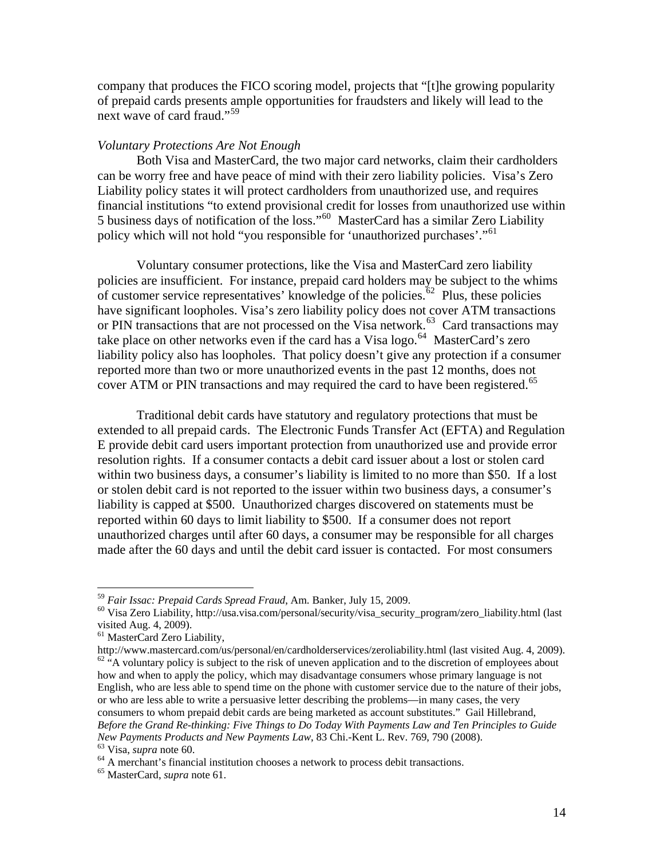company that produces the FICO scoring model, projects that "[t]he growing popularity of prepaid cards presents ample opportunities for fraudsters and likely will lead to the next wave of card fraud."<sup>[59](#page-13-0)</sup>

#### *Voluntary Protections Are Not Enough*

Both Visa and MasterCard, the two major card networks, claim their cardholders can be worry free and have peace of mind with their zero liability policies. Visa's Zero Liability policy states it will protect cardholders from unauthorized use, and requires financial institutions "to extend provisional credit for losses from unauthorized use within 5 business days of notification of the loss."[60](#page-13-1) MasterCard has a similar Zero Liability policy which will not hold "you responsible for 'unauthorized purchases'."<sup>[61](#page-13-2)</sup>

 Voluntary consumer protections, like the Visa and MasterCard zero liability policies are insufficient. For instance, prepaid card holders may be subject to the whims of customer service representatives' knowledge of the policies.<sup> $62$ </sup> Plus, these policies have significant loopholes. Visa's zero liability policy does not cover ATM transactions or PIN transactions that are not processed on the Visa network.<sup>[63](#page-13-4)</sup> Card transactions may take place on other networks even if the card has a Visa  $\log o$ .<sup>[64](#page-13-5)</sup> MasterCard's zero liability policy also has loopholes. That policy doesn't give any protection if a consumer reported more than two or more unauthorized events in the past 12 months, does not cover ATM or PIN transactions and may required the card to have been registered.<sup>[65](#page-13-6)</sup>

 Traditional debit cards have statutory and regulatory protections that must be extended to all prepaid cards. The Electronic Funds Transfer Act (EFTA) and Regulation E provide debit card users important protection from unauthorized use and provide error resolution rights. If a consumer contacts a debit card issuer about a lost or stolen card within two business days, a consumer's liability is limited to no more than \$50. If a lost or stolen debit card is not reported to the issuer within two business days, a consumer's liability is capped at \$500. Unauthorized charges discovered on statements must be reported within 60 days to limit liability to \$500. If a consumer does not report unauthorized charges until after 60 days, a consumer may be responsible for all charges made after the 60 days and until the debit card issuer is contacted. For most consumers

<span id="page-13-0"></span><sup>&</sup>lt;sup>59</sup> Fair Issac: Prepaid Cards Spread Fraud, Am. Banker, July 15, 2009.

<span id="page-13-1"></span><sup>&</sup>lt;sup>60</sup> Visa Zero Liability, http://usa.visa.com/personal/security/visa\_security\_program/zero\_liability.html (last visited Aug. 4, 2009).

<span id="page-13-3"></span>

<span id="page-13-2"></span> $61$  MasterCard Zero Liability,<br>http://www.mastercard.com/us/personal/en/cardholderservices/zeroliability.html (last visited Aug. 4, 2009).  $h^2$  "A voluntary policy is subject to the risk of uneven application and to the discretion of employees about how and when to apply the policy, which may disadvantage consumers whose primary language is not English, who are less able to spend time on the phone with customer service due to the nature of their jobs, or who are less able to write a persuasive letter describing the problems—in many cases, the very consumers to whom prepaid debit cards are being marketed as account substitutes." Gail Hillebrand, *Before the Grand Re-thinking: Five Things to Do Today With Payments Law and Ten Principles to Guide New Payments Products and New Payments Law*, 83 Chi.-Kent L. Rev. 769, 790 (2008).<br><sup>63</sup> Visa, *supra* note 60. <sup>64</sup> A merchant's financial institution chooses a network to process debit transactions.

<span id="page-13-4"></span>

<span id="page-13-6"></span><span id="page-13-5"></span><sup>65</sup> MasterCard, *supra* note 61.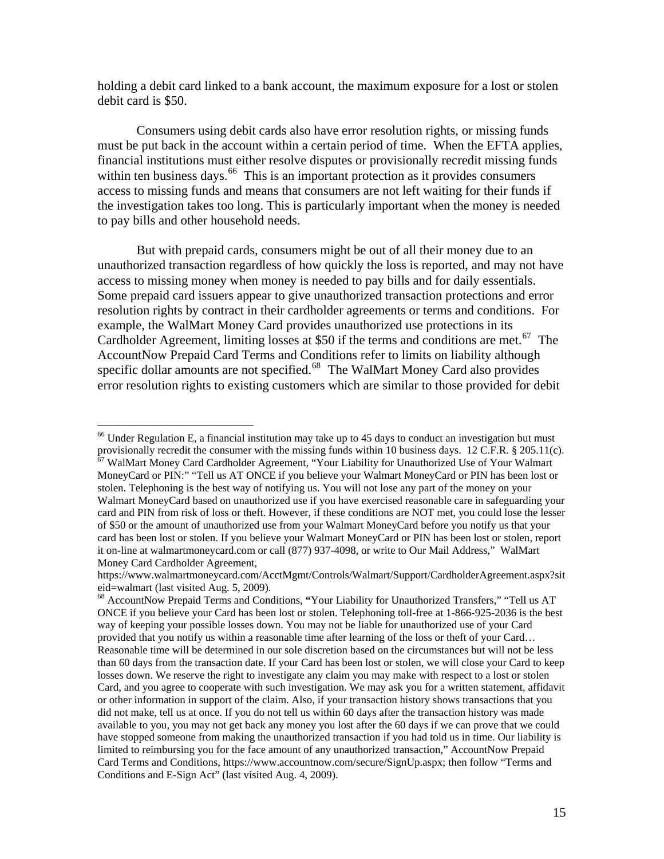holding a debit card linked to a bank account, the maximum exposure for a lost or stolen debit card is \$50.

 Consumers using debit cards also have error resolution rights, or missing funds must be put back in the account within a certain period of time. When the EFTA applies, financial institutions must either resolve disputes or provisionally recredit missing funds within ten business days.<sup>[66](#page-14-0)</sup> This is an important protection as it provides consumers access to missing funds and means that consumers are not left waiting for their funds if the investigation takes too long. This is particularly important when the money is needed to pay bills and other household needs.

 But with prepaid cards, consumers might be out of all their money due to an unauthorized transaction regardless of how quickly the loss is reported, and may not have access to missing money when money is needed to pay bills and for daily essentials. Some prepaid card issuers appear to give unauthorized transaction protections and error resolution rights by contract in their cardholder agreements or terms and conditions. For example, the WalMart Money Card provides unauthorized use protections in its Cardholder Agreement, limiting losses at \$50 if the terms and conditions are met.<sup>[67](#page-14-1)</sup> The AccountNow Prepaid Card Terms and Conditions refer to limits on liability although specific dollar amounts are not specified.<sup>[68](#page-14-2)</sup> The WalMart Money Card also provides error resolution rights to existing customers which are similar to those provided for debit

<span id="page-14-1"></span><span id="page-14-0"></span><sup>&</sup>lt;sup>66</sup> Under Regulation E, a financial institution may take up to 45 days to conduct an investigation but must provisionally recredit the consumer with the missing funds within 10 business days. 12 C.F.R. § 205.11(c).  $\frac{67}{67}$  WalMart Money Card Cardholder Agreement, "Your Liability for Unauthorized Use of Your Walmart MoneyCard or PIN:" "Tell us AT ONCE if you believe your Walmart MoneyCard or PIN has been lost or stolen. Telephoning is the best way of notifying us. You will not lose any part of the money on your Walmart MoneyCard based on unauthorized use if you have exercised reasonable care in safeguarding your card and PIN from risk of loss or theft. However, if these conditions are NOT met, you could lose the lesser of \$50 or the amount of unauthorized use from your Walmart MoneyCard before you notify us that your card has been lost or stolen. If you believe your Walmart MoneyCard or PIN has been lost or stolen, report it on-line at walmartmoneycard.com or call (877) 937-4098, or write to Our Mail Address," WalMart Money Card Cardholder Agreement,

https://www.walmartmoneycard.com/AcctMgmt/Controls/Walmart/Support/CardholderAgreement.aspx?sit eid=walmart (last visited Aug. 5, 2009).

<span id="page-14-2"></span><sup>68</sup> AccountNow Prepaid Terms and Conditions, **"**Your Liability for Unauthorized Transfers," "Tell us AT ONCE if you believe your Card has been lost or stolen. Telephoning toll-free at 1-866-925-2036 is the best way of keeping your possible losses down. You may not be liable for unauthorized use of your Card provided that you notify us within a reasonable time after learning of the loss or theft of your Card… Reasonable time will be determined in our sole discretion based on the circumstances but will not be less than 60 days from the transaction date. If your Card has been lost or stolen, we will close your Card to keep losses down. We reserve the right to investigate any claim you may make with respect to a lost or stolen Card, and you agree to cooperate with such investigation. We may ask you for a written statement, affidavit or other information in support of the claim. Also, if your transaction history shows transactions that you did not make, tell us at once. If you do not tell us within 60 days after the transaction history was made available to you, you may not get back any money you lost after the 60 days if we can prove that we could have stopped someone from making the unauthorized transaction if you had told us in time. Our liability is limited to reimbursing you for the face amount of any unauthorized transaction," AccountNow Prepaid Card Terms and Conditions, https://www.accountnow.com/secure/SignUp.aspx; then follow "Terms and Conditions and E-Sign Act" (last visited Aug. 4, 2009).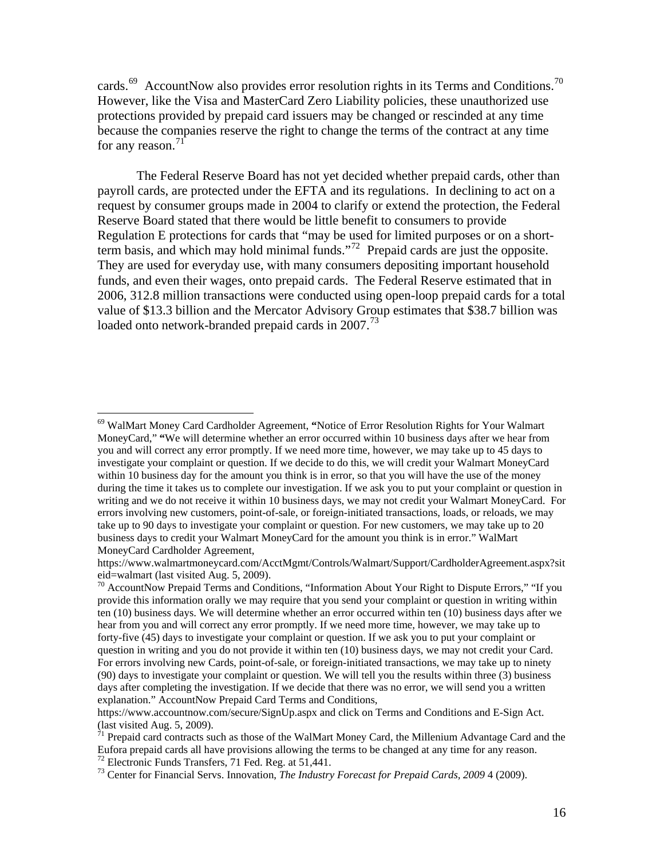cards.<sup>[69](#page-15-0)</sup> AccountNow also provides error resolution rights in its Terms and Conditions.<sup>[70](#page-15-1)</sup> However, like the Visa and MasterCard Zero Liability policies, these unauthorized use protections provided by prepaid card issuers may be changed or rescinded at any time because the companies reserve the right to change the terms of the contract at any time for any reason. $71$ 

The Federal Reserve Board has not yet decided whether prepaid cards, other than payroll cards, are protected under the EFTA and its regulations. In declining to act on a request by consumer groups made in 2004 to clarify or extend the protection, the Federal Reserve Board stated that there would be little benefit to consumers to provide Regulation E protections for cards that "may be used for limited purposes or on a shortterm basis, and which may hold minimal funds."[72](#page-15-3) Prepaid cards are just the opposite. They are used for everyday use, with many consumers depositing important household funds, and even their wages, onto prepaid cards. The Federal Reserve estimated that in 2006, 312.8 million transactions were conducted using open-loop prepaid cards for a total value of \$13.3 billion and the Mercator Advisory Group estimates that \$38.7 billion was loaded onto network-branded prepaid cards in 2007.<sup>[73](#page-15-4)</sup>

<span id="page-15-0"></span><sup>69</sup> WalMart Money Card Cardholder Agreement, **"**Notice of Error Resolution Rights for Your Walmart MoneyCard," **"**We will determine whether an error occurred within 10 business days after we hear from you and will correct any error promptly. If we need more time, however, we may take up to 45 days to investigate your complaint or question. If we decide to do this, we will credit your Walmart MoneyCard within 10 business day for the amount you think is in error, so that you will have the use of the money during the time it takes us to complete our investigation. If we ask you to put your complaint or question in writing and we do not receive it within 10 business days, we may not credit your Walmart MoneyCard. For errors involving new customers, point-of-sale, or foreign-initiated transactions, loads, or reloads, we may take up to 90 days to investigate your complaint or question. For new customers, we may take up to 20 business days to credit your Walmart MoneyCard for the amount you think is in error." WalMart MoneyCard Cardholder Agreement,

https://www.walmartmoneycard.com/AcctMgmt/Controls/Walmart/Support/CardholderAgreement.aspx?sit eid=walmart (last visited Aug. 5, 2009).

<span id="page-15-1"></span><sup>&</sup>lt;sup>70</sup> AccountNow Prepaid Terms and Conditions, "Information About Your Right to Dispute Errors," "If you provide this information orally we may require that you send your complaint or question in writing within ten (10) business days. We will determine whether an error occurred within ten (10) business days after we hear from you and will correct any error promptly. If we need more time, however, we may take up to forty-five (45) days to investigate your complaint or question. If we ask you to put your complaint or question in writing and you do not provide it within ten (10) business days, we may not credit your Card. For errors involving new Cards, point-of-sale, or foreign-initiated transactions, we may take up to ninety (90) days to investigate your complaint or question. We will tell you the results within three (3) business days after completing the investigation. If we decide that there was no error, we will send you a written explanation." AccountNow Prepaid Card Terms and Conditions,

https://www.accountnow.com/secure/SignUp.aspx and click on Terms and Conditions and E-Sign Act. (last visited Aug. 5, 2009).

<span id="page-15-2"></span> $71$  Prepaid card contracts such as those of the WalMart Money Card, the Millenium Advantage Card and the Eufora prepaid cards all have provisions allowing the terms to be changed at any time for any reason. <sup>72</sup> Electronic Funds Transfers, 71 Fed. Reg. at 51,441.

<span id="page-15-4"></span><span id="page-15-3"></span><sup>73</sup> Center for Financial Servs. Innovation, *The Industry Forecast for Prepaid Cards, 2009* 4 (2009).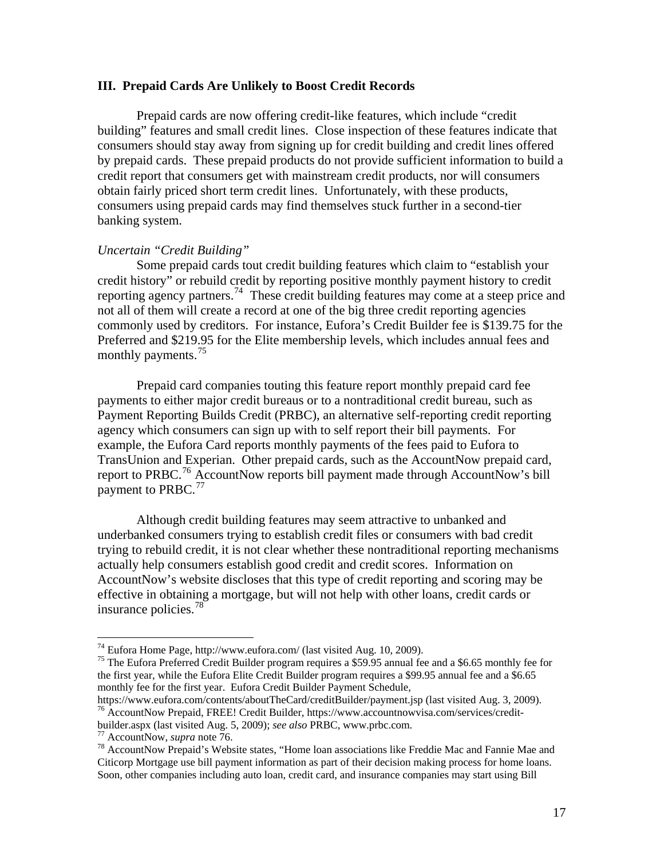#### **III. Prepaid Cards Are Unlikely to Boost Credit Records**

Prepaid cards are now offering credit-like features, which include "credit building" features and small credit lines. Close inspection of these features indicate that consumers should stay away from signing up for credit building and credit lines offered by prepaid cards. These prepaid products do not provide sufficient information to build a credit report that consumers get with mainstream credit products, nor will consumers obtain fairly priced short term credit lines. Unfortunately, with these products, consumers using prepaid cards may find themselves stuck further in a second-tier banking system.

#### *Uncertain "Credit Building"*

Some prepaid cards tout credit building features which claim to "establish your credit history" or rebuild credit by reporting positive monthly payment history to credit reporting agency partners.[74](#page-16-0) These credit building features may come at a steep price and not all of them will create a record at one of the big three credit reporting agencies commonly used by creditors. For instance, Eufora's Credit Builder fee is \$139.75 for the Preferred and \$219.95 for the Elite membership levels, which includes annual fees and monthly payments.<sup>[75](#page-16-1)</sup>

Prepaid card companies touting this feature report monthly prepaid card fee payments to either major credit bureaus or to a nontraditional credit bureau, such as Payment Reporting Builds Credit (PRBC), an alternative self-reporting credit reporting agency which consumers can sign up with to self report their bill payments. For example, the Eufora Card reports monthly payments of the fees paid to Eufora to TransUnion and Experian. Other prepaid cards, such as the AccountNow prepaid card, report to PRBC.<sup>[76](#page-16-2)</sup> AccountNow reports bill payment made through AccountNow's bill payment to PRBC.<sup>[77](#page-16-3)</sup>

Although credit building features may seem attractive to unbanked and underbanked consumers trying to establish credit files or consumers with bad credit trying to rebuild credit, it is not clear whether these nontraditional reporting mechanisms actually help consumers establish good credit and credit scores. Information on AccountNow's website discloses that this type of credit reporting and scoring may be effective in obtaining a mortgage, but will not help with other loans, credit cards or insurance policies.<sup>[78](#page-16-4)</sup>

1

<span id="page-16-1"></span><span id="page-16-0"></span><sup>&</sup>lt;sup>74</sup> Eufora Home Page, http://www.eufora.com/ (last visited Aug. 10, 2009).<br><sup>75</sup> The Eufora Preferred Credit Builder program requires a \$59.95 annual fee and a \$6.65 monthly fee for the first year, while the Eufora Elite Credit Builder program requires a \$99.95 annual fee and a \$6.65 monthly fee for the first year. Eufora Credit Builder Payment Schedule,

<span id="page-16-2"></span>https://www.eufora.com/contents/aboutTheCard/creditBuilder/payment.jsp (last visited Aug. 3, 2009).<br><sup>76</sup> AccountNow Prepaid, FREE! Credit Builder, https://www.accountnowvisa.com/services/credit-

<span id="page-16-4"></span>

<span id="page-16-3"></span>builder.aspx (last visited Aug. 5, 2009); *see also* PRBC, www.prbc.com.<br><sup>77</sup> AccountNow, *supra* note 76.<br><sup>78</sup> AccountNow Prepaid's Website states, "Home loan associations like Freddie Mac and Fannie Mae and Citicorp Mortgage use bill payment information as part of their decision making process for home loans. Soon, other companies including auto loan, credit card, and insurance companies may start using Bill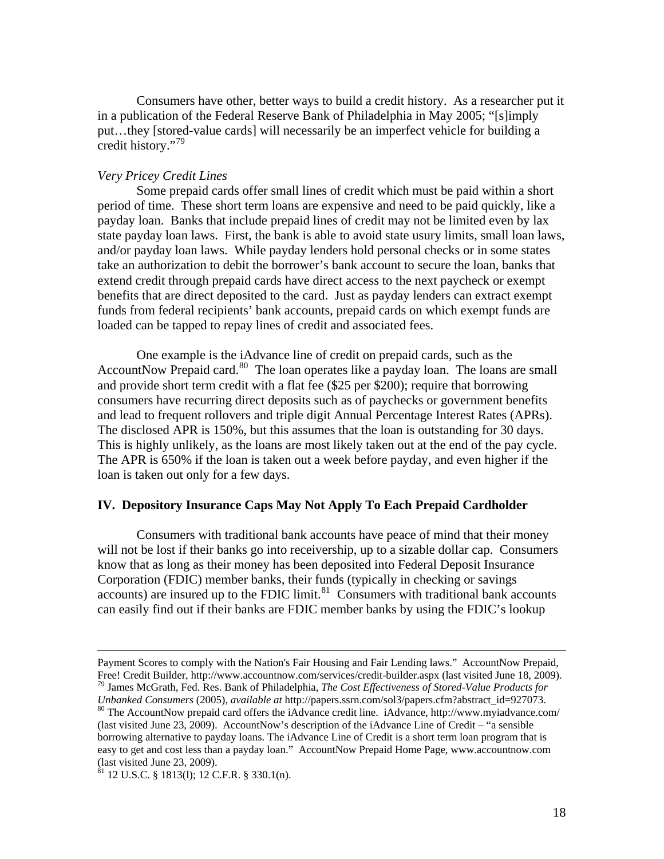Consumers have other, better ways to build a credit history. As a researcher put it in a publication of the Federal Reserve Bank of Philadelphia in May 2005; "[s]imply put…they [stored-value cards] will necessarily be an imperfect vehicle for building a credit history."[79](#page-17-0)

## *Very Pricey Credit Lines*

Some prepaid cards offer small lines of credit which must be paid within a short period of time. These short term loans are expensive and need to be paid quickly, like a payday loan. Banks that include prepaid lines of credit may not be limited even by lax state payday loan laws. First, the bank is able to avoid state usury limits, small loan laws, and/or payday loan laws. While payday lenders hold personal checks or in some states take an authorization to debit the borrower's bank account to secure the loan, banks that extend credit through prepaid cards have direct access to the next paycheck or exempt benefits that are direct deposited to the card. Just as payday lenders can extract exempt funds from federal recipients' bank accounts, prepaid cards on which exempt funds are loaded can be tapped to repay lines of credit and associated fees.

One example is the iAdvance line of credit on prepaid cards, such as the AccountNow Prepaid card.<sup>[80](#page-17-1)</sup> The loan operates like a payday loan. The loans are small and provide short term credit with a flat fee (\$25 per \$200); require that borrowing consumers have recurring direct deposits such as of paychecks or government benefits and lead to frequent rollovers and triple digit Annual Percentage Interest Rates (APRs). The disclosed APR is 150%, but this assumes that the loan is outstanding for 30 days. This is highly unlikely, as the loans are most likely taken out at the end of the pay cycle. The APR is 650% if the loan is taken out a week before payday, and even higher if the loan is taken out only for a few days.

#### **IV. Depository Insurance Caps May Not Apply To Each Prepaid Cardholder**

Consumers with traditional bank accounts have peace of mind that their money will not be lost if their banks go into receivership, up to a sizable dollar cap. Consumers know that as long as their money has been deposited into Federal Deposit Insurance Corporation (FDIC) member banks, their funds (typically in checking or savings accounts) are insured up to the FDIC limit. $81$  Consumers with traditional bank accounts can easily find out if their banks are FDIC member banks by using the FDIC's lookup

Payment Scores to comply with the Nation's Fair Housing and Fair Lending laws." AccountNow Prepaid, Free! Credit Builder, http://www.accountnow.com/services/credit-builder.aspx (last visited June 18, 2009).<br><sup>79</sup> James McGrath, Fed. Res. Bank of Philadelphia, *The Cost Effectiveness of Stored-Value Products for*<br>*Unbanked* 

<span id="page-17-0"></span>

<span id="page-17-1"></span><sup>&</sup>lt;sup>80</sup> The AccountNow prepaid card offers the iAdvance credit line. iAdvance, http://www.myiadvance.com/ (last visited June 23, 2009). AccountNow's description of the iAdvance Line of Credit – "a sensible borrowing alternative to payday loans. The iAdvance Line of Credit is a short term loan program that is easy to get and cost less than a payday loan." AccountNow Prepaid Home Page, www.accountnow.com (last visited June 23, 2009).

<span id="page-17-2"></span> $81$  12 U.S.C. § 1813(1); 12 C.F.R. § 330.1(n).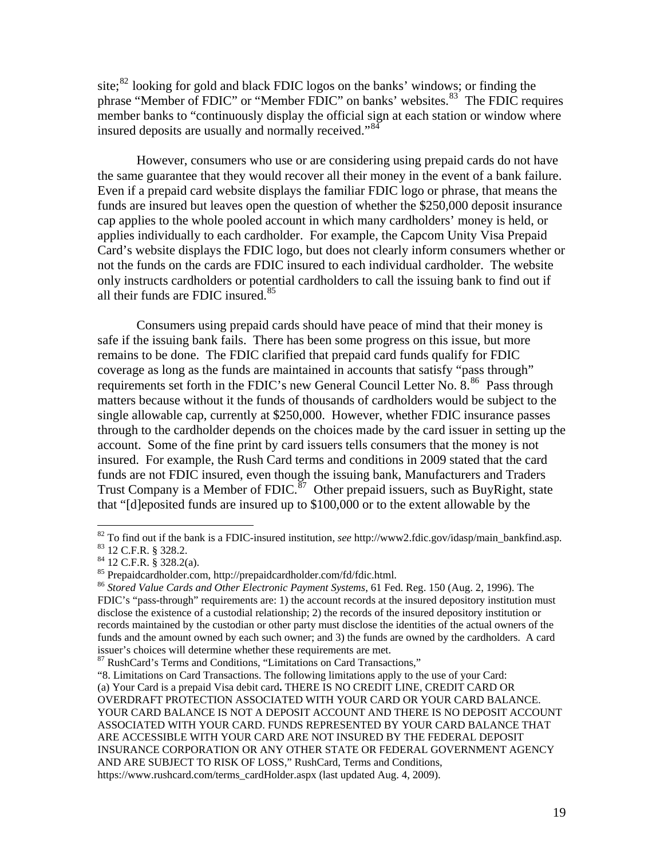site;<sup>[82](#page-18-0)</sup> looking for gold and black FDIC logos on the banks' windows; or finding the phrase "Member of FDIC" or "Member FDIC" on banks' websites.<sup>[83](#page-18-1)</sup> The FDIC requires member banks to "continuously display the official sign at each station or window where insured deposits are usually and normally received."<sup>[84](#page-18-2)</sup>

However, consumers who use or are considering using prepaid cards do not have the same guarantee that they would recover all their money in the event of a bank failure. Even if a prepaid card website displays the familiar FDIC logo or phrase, that means the funds are insured but leaves open the question of whether the \$250,000 deposit insurance cap applies to the whole pooled account in which many cardholders' money is held, or applies individually to each cardholder. For example, the Capcom Unity Visa Prepaid Card's website displays the FDIC logo, but does not clearly inform consumers whether or not the funds on the cards are FDIC insured to each individual cardholder. The website only instructs cardholders or potential cardholders to call the issuing bank to find out if all their funds are FDIC insured.<sup>[85](#page-18-3)</sup>

Consumers using prepaid cards should have peace of mind that their money is safe if the issuing bank fails. There has been some progress on this issue, but more remains to be done. The FDIC clarified that prepaid card funds qualify for FDIC coverage as long as the funds are maintained in accounts that satisfy "pass through" requirements set forth in the FDIC's new General Council Letter No. 8.<sup>[86](#page-18-4)</sup> Pass through matters because without it the funds of thousands of cardholders would be subject to the single allowable cap, currently at \$250,000. However, whether FDIC insurance passes through to the cardholder depends on the choices made by the card issuer in setting up the account. Some of the fine print by card issuers tells consumers that the money is not insured. For example, the Rush Card terms and conditions in 2009 stated that the card funds are not FDIC insured, even though the issuing bank, Manufacturers and Traders Trust Company is a Member of FDIC.<sup>[87](#page-18-5)</sup> Other prepaid issuers, such as BuyRight, state that "[d]eposited funds are insured up to \$100,000 or to the extent allowable by the

<span id="page-18-0"></span><sup>82</sup> To find out if the bank is a FDIC-insured institution, *see* http://www2.fdic.gov/idasp/main\_bankfind.asp. 83 12 C.F.R. § 328.2.

<span id="page-18-2"></span><span id="page-18-1"></span> $^{84}$  12 C.F.R. § 328.2(a).<br><sup>85</sup> Prepaidcardholder.com, http://prepaidcardholder.com/fd/fdic.html.

<span id="page-18-4"></span><span id="page-18-3"></span><sup>&</sup>lt;sup>86</sup> Stored Value Cards and Other Electronic Payment Systems, 61 Fed. Reg. 150 (Aug. 2, 1996). The FDIC's "pass-through" requirements are: 1) the account records at the insured depository institution must disclose the existence of a custodial relationship; 2) the records of the insured depository institution or records maintained by the custodian or other party must disclose the identities of the actual owners of the funds and the amount owned by each such owner; and 3) the funds are owned by the cardholders. A card issuer's choices will determine whether these requirements are met.

<span id="page-18-5"></span><sup>87</sup> RushCard's Terms and Conditions, "Limitations on Card Transactions,"

<sup>&</sup>quot;8. Limitations on Card Transactions. The following limitations apply to the use of your Card: (a) Your Card is a prepaid Visa debit card**.** THERE IS NO CREDIT LINE, CREDIT CARD OR OVERDRAFT PROTECTION ASSOCIATED WITH YOUR CARD OR YOUR CARD BALANCE. YOUR CARD BALANCE IS NOT A DEPOSIT ACCOUNT AND THERE IS NO DEPOSIT ACCOUNT ASSOCIATED WITH YOUR CARD. FUNDS REPRESENTED BY YOUR CARD BALANCE THAT ARE ACCESSIBLE WITH YOUR CARD ARE NOT INSURED BY THE FEDERAL DEPOSIT INSURANCE CORPORATION OR ANY OTHER STATE OR FEDERAL GOVERNMENT AGENCY AND ARE SUBJECT TO RISK OF LOSS," RushCard, Terms and Conditions, https://www.rushcard.com/terms\_cardHolder.aspx (last updated Aug. 4, 2009).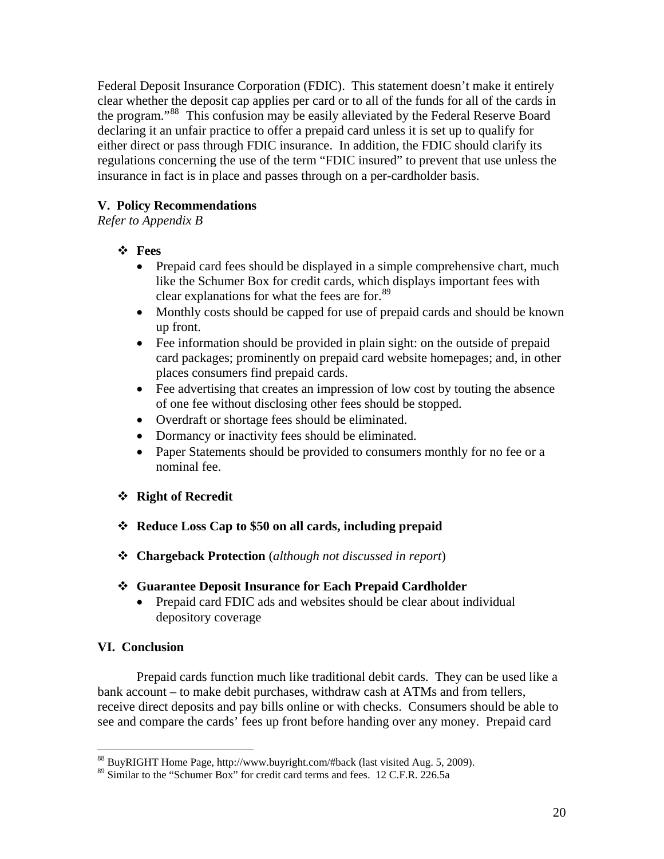Federal Deposit Insurance Corporation (FDIC). This statement doesn't make it entirely clear whether the deposit cap applies per card or to all of the funds for all of the cards in the program."[88](#page-19-0) This confusion may be easily alleviated by the Federal Reserve Board declaring it an unfair practice to offer a prepaid card unless it is set up to qualify for either direct or pass through FDIC insurance. In addition, the FDIC should clarify its regulations concerning the use of the term "FDIC insured" to prevent that use unless the insurance in fact is in place and passes through on a per-cardholder basis.

# **V. Policy Recommendations**

*Refer to Appendix B*

- **Fees** 
	- Prepaid card fees should be displayed in a simple comprehensive chart, much like the Schumer Box for credit cards, which displays important fees with clear explanations for what the fees are for.<sup>[89](#page-19-1)</sup>
	- Monthly costs should be capped for use of prepaid cards and should be known up front.
	- Fee information should be provided in plain sight: on the outside of prepaid card packages; prominently on prepaid card website homepages; and, in other places consumers find prepaid cards.
	- Fee advertising that creates an impression of low cost by touting the absence of one fee without disclosing other fees should be stopped.
	- Overdraft or shortage fees should be eliminated.
	- Dormancy or inactivity fees should be eliminated.
	- Paper Statements should be provided to consumers monthly for no fee or a nominal fee.

# **Right of Recredit**

- **Reduce Loss Cap to \$50 on all cards, including prepaid**
- **Chargeback Protection** (*although not discussed in report*)
- **Guarantee Deposit Insurance for Each Prepaid Cardholder** 
	- Prepaid card FDIC ads and websites should be clear about individual depository coverage

# **VI. Conclusion**

1

 Prepaid cards function much like traditional debit cards. They can be used like a bank account – to make debit purchases, withdraw cash at ATMs and from tellers, receive direct deposits and pay bills online or with checks. Consumers should be able to see and compare the cards' fees up front before handing over any money. Prepaid card

<sup>88</sup> BuyRIGHT Home Page, http://www.buyright.com/#back (last visited Aug. 5, 2009).

<span id="page-19-1"></span><span id="page-19-0"></span><sup>89</sup> Similar to the "Schumer Box" for credit card terms and fees. 12 C.F.R. 226.5a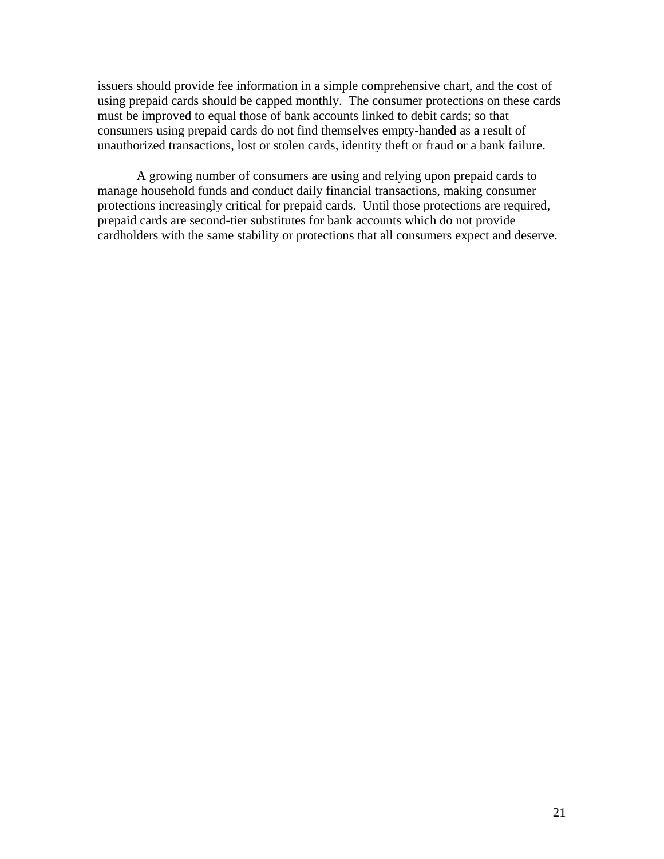issuers should provide fee information in a simple comprehensive chart, and the cost of using prepaid cards should be capped monthly. The consumer protections on these cards must be improved to equal those of bank accounts linked to debit cards; so that consumers using prepaid cards do not find themselves empty-handed as a result of unauthorized transactions, lost or stolen cards, identity theft or fraud or a bank failure.

A growing number of consumers are using and relying upon prepaid cards to manage household funds and conduct daily financial transactions, making consumer protections increasingly critical for prepaid cards. Until those protections are required, prepaid cards are second-tier substitutes for bank accounts which do not provide cardholders with the same stability or protections that all consumers expect and deserve.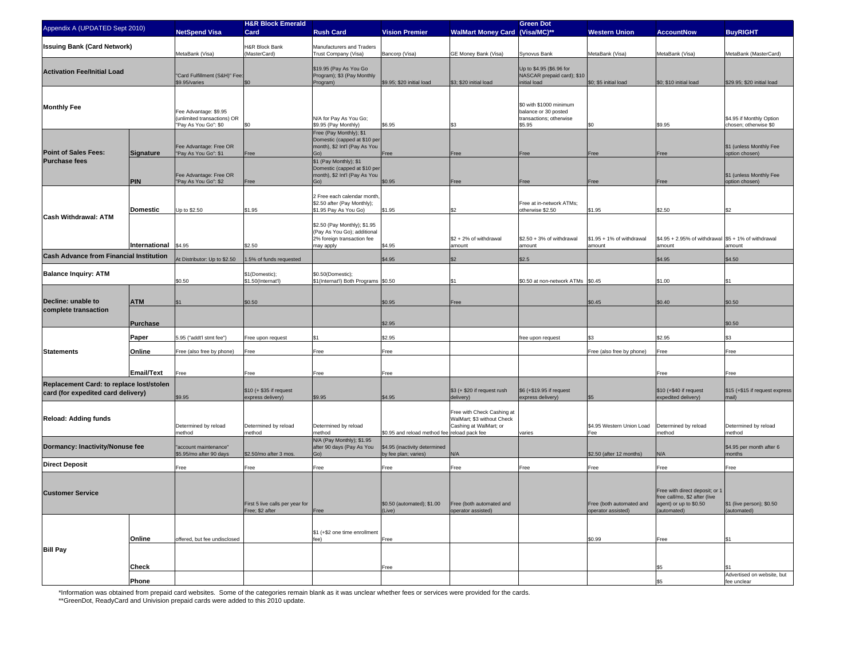| Appendix A (UPDATED Sept 2010)                                                 |                   | <b>NetSpend Visa</b>                                                         | <b>H&amp;R Block Emerald</b><br>Card               | <b>Rush Card</b>                                                                                       | <b>Vision Premier</b>                                 | <b>WalMart Money Card (Visa/MC)**</b>                                                                 | <b>Green Dot</b>                                                                     | <b>Western Union</b>                           | <b>AccountNow</b>                                                                                    | <b>BuyRIGHT</b>                                   |
|--------------------------------------------------------------------------------|-------------------|------------------------------------------------------------------------------|----------------------------------------------------|--------------------------------------------------------------------------------------------------------|-------------------------------------------------------|-------------------------------------------------------------------------------------------------------|--------------------------------------------------------------------------------------|------------------------------------------------|------------------------------------------------------------------------------------------------------|---------------------------------------------------|
| <b>Issuing Bank (Card Network)</b>                                             |                   |                                                                              | <b>1&amp;R Block Bank</b>                          | Manufacturers and Traders                                                                              |                                                       |                                                                                                       |                                                                                      |                                                |                                                                                                      |                                                   |
|                                                                                |                   | MetaBank (Visa)                                                              | (MasterCard)                                       | Trust Company (Visa)                                                                                   | Bancorp (Visa)                                        | <b>GE Money Bank (Visa)</b>                                                                           | Synovus Bank                                                                         | MetaBank (Visa)                                | MetaBank (Visa)                                                                                      | MetaBank (MasterCard)                             |
| <b>Activation Fee/Initial Load</b>                                             |                   | 'Card Fulfillment (S&H)" Fee<br>\$9.95/varies                                | \$0                                                | \$19.95 (Pay As You Go<br>Program); \$3 (Pay Monthly<br>Program)                                       | \$9.95; \$20 initial load                             | \$3; \$20 initial load                                                                                | Up to \$4.95 (\$6.96 for<br>NASCAR prepaid card); \$10<br>initial load               | \$0; \$5 initial load                          | \$0; \$10 initial load                                                                               | \$29.95; \$20 initial load                        |
| <b>Monthly Fee</b>                                                             |                   | Fee Advantage: \$9.95<br>(unlimited transactions) OR<br>'Pay As You Go": \$0 | \$0                                                | N/A for Pay As You Go;<br>\$9.95 (Pay Monthly)                                                         | \$6.95                                                |                                                                                                       | \$0 with \$1000 minimum<br>balance or 30 posted<br>transactions; otherwise<br>\$5.95 |                                                | \$9.95                                                                                               | \$4.95 if Monthly Option<br>chosen; otherwise \$0 |
| <b>Point of Sales Fees:</b>                                                    | Signature         | Fee Advantage: Free OR<br>"Pay As You Go": \$1                               | Free                                               | Free (Pay Monthly); \$1<br>Domestic (capped at \$10 per<br>month), \$2 Int'l (Pay As You<br>Go)        | Free                                                  | Free                                                                                                  | Free                                                                                 | Free                                           | Free                                                                                                 | \$1 (unless Monthly Fee<br>option chosen)         |
| <b>Purchase fees</b>                                                           | PIN               | Fee Advantage: Free OR<br>'Pay As You Go": \$2                               | Free                                               | \$1 (Pay Monthly); \$1<br>Domestic (capped at \$10 per<br>month), \$2 Int'l (Pay As You<br>Go)         | \$0.95                                                | Free                                                                                                  | Free                                                                                 | <sup>:</sup> ree                               | Free                                                                                                 | \$1 (unless Monthly Fee<br>option chosen)         |
|                                                                                | <b>Domestic</b>   | Jp to \$2.50                                                                 | \$1.95                                             | 2 Free each calendar month<br>\$2.50 after (Pay Monthly);<br>\$1.95 Pay As You Go)                     | \$1.95                                                |                                                                                                       | Free at in-network ATMs;<br>otherwise \$2.50                                         | \$1.95                                         | \$2.50                                                                                               | \$2                                               |
| <b>Cash Withdrawal: ATM</b>                                                    | International     | 64.95                                                                        | \$2.50                                             | \$2.50 (Pay Monthly); \$1.95<br>(Pay As You Go); additional<br>2% foreign transaction fee<br>may apply | \$4.95                                                | \$2 + 2% of withdrawal<br>amount                                                                      | $$2.50 + 3\%$ of withdrawal<br>amount                                                | $$1.95 + 1\%$ of withdrawal<br>mount           | \$4.95 + 2.95% of withdrawal \$5 + 1% of withdrawal<br>amount                                        | amount                                            |
| <b>Cash Advance from Financial Institution</b>                                 |                   | t Distributor: Up to \$2.50                                                  | 1.5% of funds requested                            |                                                                                                        | \$4.95                                                | \$2                                                                                                   | \$2.5                                                                                |                                                | \$4.95                                                                                               | \$4.50                                            |
| <b>Balance Inquiry: ATM</b>                                                    |                   | \$0.50                                                                       | \$1(Domestic);<br>\$1.50(Internat'l)               | \$0.50(Domestic);<br>\$1(Internat'l) Both Programs \$0.50                                              |                                                       |                                                                                                       | \$0.50 at non-network ATMs \$0.45                                                    |                                                | \$1.00                                                                                               |                                                   |
| Decline: unable to                                                             | <b>ATM</b>        |                                                                              | \$0.50                                             |                                                                                                        | \$0.95                                                | Free                                                                                                  |                                                                                      | \$0.45                                         | \$0.40                                                                                               | \$0.50                                            |
| complete transaction                                                           | <b>Purchase</b>   |                                                                              |                                                    |                                                                                                        | \$2.95                                                |                                                                                                       |                                                                                      |                                                |                                                                                                      | \$0.50                                            |
|                                                                                | Paper             | .95 ("addt'l stmt fee")                                                      | Free upon request                                  | \$1                                                                                                    | \$2.95                                                |                                                                                                       | ree upon request                                                                     | S <sub>3</sub>                                 | \$2.95                                                                                               | \$3                                               |
| <b>Statements</b>                                                              | Online            | ree (also free by phone)                                                     | Free                                               | Free                                                                                                   | Free                                                  |                                                                                                       |                                                                                      | Free (also free by phone)                      | Free                                                                                                 | Free                                              |
|                                                                                |                   | Free                                                                         | Free                                               | Free                                                                                                   | <b>Free</b>                                           |                                                                                                       |                                                                                      |                                                | Free                                                                                                 | Free                                              |
| Replacement Card: to replace lost/stolen<br>card (for expedited card delivery) | <b>Email/Text</b> | \$9.95                                                                       | \$10 (+ \$35 if request<br>express delivery)       | \$9.95                                                                                                 | \$4.95                                                | \$3 (+ \$20 if request rush<br>lelivery)                                                              | \$6 (+\$19.95 if request<br>express delivery)                                        |                                                | \$10 (+\$40 if request<br>expedited delivery)                                                        | \$15 (+\$15 if request express<br>mail)           |
| <b>Reload: Adding funds</b>                                                    |                   | Determined by reload<br>nethod                                               | Determined by reload<br>method                     | Determined by reload<br>method                                                                         | \$0.95 and reload method fee                          | Free with Check Cashing at<br>WalMart; \$3 without Check<br>Cashing at WalMart; or<br>reload pack fee | varies                                                                               | \$4.95 Western Union Load<br>Fee               | Determined by reload<br>method                                                                       | Determined by reload<br>method                    |
| Dormancy: Inactivity/Nonuse fee                                                |                   | account maintenance"<br>\$5.95/mo after 90 days                              | \$2.50/mo after 3 mos.                             | N/A (Pay Monthly); \$1.95<br>after 90 days (Pay As You<br>Go)                                          | \$4.95 (inactivity determined<br>by fee plan; varies) | V/A                                                                                                   |                                                                                      | \$2.50 (after 12 months)                       | I/A                                                                                                  | \$4.95 per month after 6<br>months                |
| <b>Direct Deposit</b>                                                          |                   | ree                                                                          | Free                                               | Free                                                                                                   | Free                                                  | Free                                                                                                  | Free                                                                                 | Free                                           | Free                                                                                                 | Free                                              |
| <b>Customer Service</b>                                                        |                   |                                                                              | First 5 live calls per year for<br>Free; \$2 after | Free                                                                                                   | \$0.50 (automated); \$1.00<br>Live)                   | Free (both automated and<br>operator assisted)                                                        |                                                                                      | Free (both automated and<br>operator assisted) | Free with direct deposit; or<br>ree call/mo, \$2 after (live<br>agent) or up to \$0.50<br>automated) | \$1 (live person); \$0.50<br>(automated)          |
|                                                                                | Online            | offered, but fee undisclosed                                                 |                                                    | \$1 (+\$2 one time enrollment<br>fee                                                                   | Free                                                  |                                                                                                       |                                                                                      | \$0.99                                         | Free                                                                                                 |                                                   |
| <b>Bill Pay</b>                                                                | Check             |                                                                              |                                                    |                                                                                                        | Free                                                  |                                                                                                       |                                                                                      |                                                | \$5                                                                                                  |                                                   |
|                                                                                | Phone             |                                                                              |                                                    |                                                                                                        |                                                       |                                                                                                       |                                                                                      |                                                | \$5                                                                                                  | Advertised on website, but<br>fee unclear         |

\*Information was obtained from prepaid card websites. Some of the categories remain blank as it was unclear whether fees or services were provided for the cards.<br>\*\*GreenDot, ReadyCard and Univision prepaid cards were added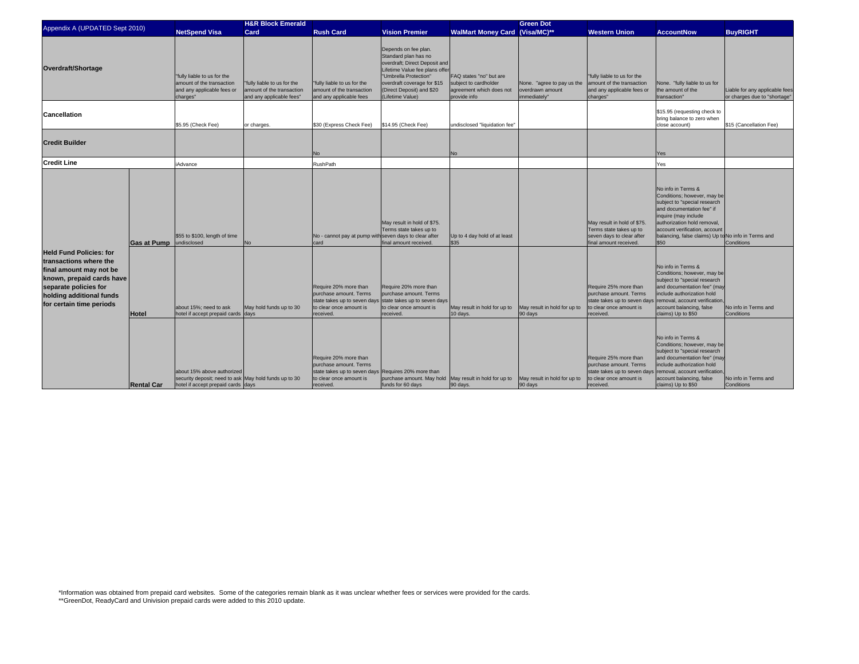| Appendix A (UPDATED Sept 2010)                                                                                                                                                                    |                    |                                                                                                                           | <b>H&amp;R Block Emerald</b>                                                        |                                                                                                                                                      |                                                                                                                                                                                                                         |                                                                                              |                                                                |                                                                                                                         |                                                                                                                                                                                                                                                                       |                                                                |
|---------------------------------------------------------------------------------------------------------------------------------------------------------------------------------------------------|--------------------|---------------------------------------------------------------------------------------------------------------------------|-------------------------------------------------------------------------------------|------------------------------------------------------------------------------------------------------------------------------------------------------|-------------------------------------------------------------------------------------------------------------------------------------------------------------------------------------------------------------------------|----------------------------------------------------------------------------------------------|----------------------------------------------------------------|-------------------------------------------------------------------------------------------------------------------------|-----------------------------------------------------------------------------------------------------------------------------------------------------------------------------------------------------------------------------------------------------------------------|----------------------------------------------------------------|
|                                                                                                                                                                                                   |                    | <b>NetSpend Visa</b>                                                                                                      | Card                                                                                | <b>Rush Card</b>                                                                                                                                     | <b>Vision Premier</b>                                                                                                                                                                                                   | <b>WalMart Money Card (Visa/MC)**</b>                                                        |                                                                | <b>Western Union</b>                                                                                                    | <b>AccountNow</b>                                                                                                                                                                                                                                                     | <b>BuyRIGHT</b>                                                |
| Overdraft/Shortage                                                                                                                                                                                |                    | "fully liable to us for the<br>amount of the transaction<br>and any applicable fees or<br>charges"                        | fully liable to us for the<br>amount of the transaction<br>and any applicable fees" | "fully liable to us for the<br>amount of the transaction<br>and any applicable fees                                                                  | Depends on fee plan.<br>Standard plan has no<br>overdraft; Direct Deposit and<br>Lifetime Value fee plans offer<br>"Umbrella Protection"<br>overdraft coverage for \$15<br>(Direct Deposit) and \$20<br>Lifetime Value) | FAQ states "no" but are<br>subject to cardholder<br>agreement which does not<br>provide info | None. "agree to pay us the<br>overdrawn amount<br>immediately" | "fully liable to us for the<br>amount of the transaction<br>and any applicable fees or<br>charges"                      | Vone. "fully liable to us for<br>he amount of the<br>transaction"                                                                                                                                                                                                     | Liable for any applicable fees<br>or charges due to "shortage" |
| <b>Cancellation</b>                                                                                                                                                                               |                    | \$5.95 (Check Fee)                                                                                                        | or charges.                                                                         | \$30 (Express Check Fee)                                                                                                                             | \$14.95 (Check Fee)                                                                                                                                                                                                     | undisclosed "liquidation fee'                                                                |                                                                |                                                                                                                         | \$15.95 (requesting check to<br>bring balance to zero when<br>close account)                                                                                                                                                                                          | \$15 (Cancellation Fee)                                        |
| <b>Credit Builder</b>                                                                                                                                                                             |                    |                                                                                                                           |                                                                                     | No                                                                                                                                                   |                                                                                                                                                                                                                         | <b>No</b>                                                                                    |                                                                |                                                                                                                         | Yes                                                                                                                                                                                                                                                                   |                                                                |
| <b>Credit Line</b>                                                                                                                                                                                |                    | Advance                                                                                                                   |                                                                                     | RushPath                                                                                                                                             |                                                                                                                                                                                                                         |                                                                                              |                                                                |                                                                                                                         | Yes                                                                                                                                                                                                                                                                   |                                                                |
|                                                                                                                                                                                                   | <b>Gas at Pump</b> | \$55 to \$100, length of time<br>undisclosed                                                                              | <b>No</b>                                                                           | No - cannot pay at pump with seven days to clear after<br>card                                                                                       | May result in hold of \$75.<br>Terms state takes up to<br>final amount received.                                                                                                                                        | Up to 4 day hold of at least<br>\$35                                                         |                                                                | May result in hold of \$75.<br>Terms state takes up to<br>seven days to clear after<br>final amount received.           | No info in Terms &<br>Conditions; however, may be<br>subject to "special research<br>and documentation fee" if<br>inquire (may include<br>authorization hold removal,<br>account verification, account<br>balancing, false claims) Up to No info in Terms and<br>\$50 | Conditions                                                     |
| <b>Held Fund Policies: for</b><br>transactions where the<br>final amount may not be<br>known, prepaid cards have<br>separate policies for<br>holding additional funds<br>for certain time periods | <b>Hotel</b>       | about 15%; need to ask<br>hotel if accept prepaid cards days                                                              | May hold funds up to 30                                                             | Require 20% more than<br>purchase amount. Terms<br>state takes up to seven days state takes up to seven days<br>to clear once amount is<br>received. | Require 20% more than<br>purchase amount. Terms<br>to clear once amount is<br>received.                                                                                                                                 | May result in hold for up to<br>10 days.                                                     | May result in hold for up to<br>90 days                        | Require 25% more than<br>purchase amount. Terms<br>to clear once amount is<br>received.                                 | No info in Terms &<br>Conditions; however, may be<br>subject to "special research<br>and documentation fee" (may<br>include authorization hold<br>state takes up to seven days removal, account verification,<br>account balancing, false<br>claims) Up to \$50       | No info in Terms and<br>Conditions                             |
|                                                                                                                                                                                                   | <b>Rental Car</b>  | about 15% above authorized<br>security deposit; need to ask May hold funds up to 30<br>hotel if accept prepaid cards days |                                                                                     | Require 20% more than<br>purchase amount. Terms<br>state takes up to seven days Requires 20% more than<br>to clear once amount is<br>received.       | purchase amount. May hold May result in hold for up to<br>funds for 60 days                                                                                                                                             | 90 days.                                                                                     | May result in hold for up to<br>90 days                        | Require 25% more than<br>purchase amount. Terms<br>state takes up to seven days<br>to clear once amount is<br>received. | No info in Terms &<br>Conditions; however, may be<br>subject to "special research<br>and documentation fee" (may<br>include authorization hold<br>removal, account verification,<br>account balancing, false<br>claims) Up to \$50                                    | No info in Terms and<br>Conditions                             |

\*Information was obtained from prepaid card websites. Some of the categories remain blank as it was unclear whether fees or services were provided for the cards.<br>\*\*GreenDot, ReadyCard and Univision prepaid cards were added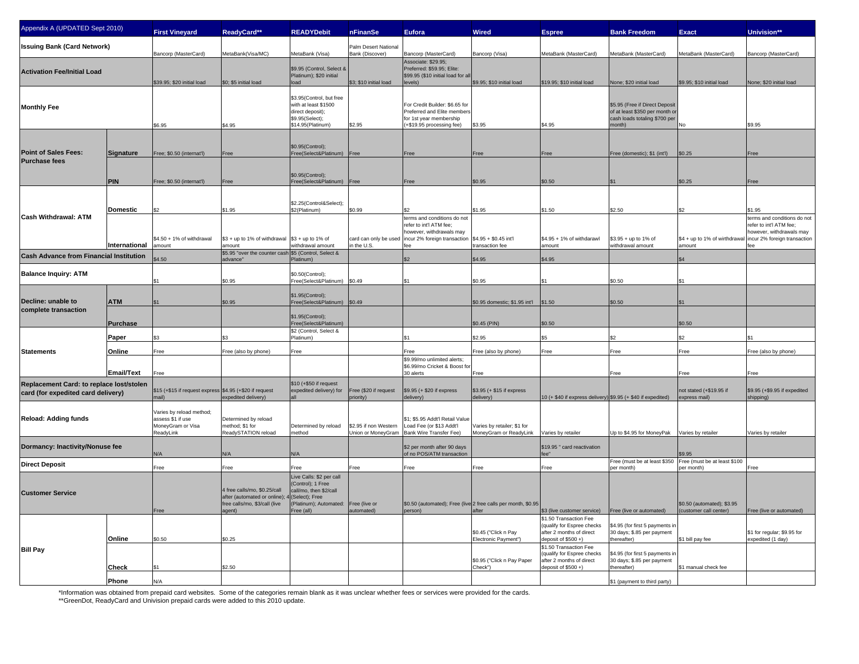| Appendix A (UPDATED Sept 2010)                                                 |                   | <b>First Vineyard</b>                                                           | ReadyCard**                                                                                               | <b>READYDebit</b>                                                                                                             | nFinanSe                                | <b>Eufora</b>                                                                                                        | <b>Wired</b>                                                           | <b>Espree</b>                                                                                                                       | <b>Bank Freedom</b>                                                                                         | <b>Exact</b>                                        | Univision**                                                                        |
|--------------------------------------------------------------------------------|-------------------|---------------------------------------------------------------------------------|-----------------------------------------------------------------------------------------------------------|-------------------------------------------------------------------------------------------------------------------------------|-----------------------------------------|----------------------------------------------------------------------------------------------------------------------|------------------------------------------------------------------------|-------------------------------------------------------------------------------------------------------------------------------------|-------------------------------------------------------------------------------------------------------------|-----------------------------------------------------|------------------------------------------------------------------------------------|
| <b>Issuing Bank (Card Network)</b>                                             |                   | Bancorp (MasterCard)                                                            | MetaBank(Visa/MC)                                                                                         | MetaBank (Visa)                                                                                                               | Palm Desert National<br>Bank (Discover) | Bancorp (MasterCard)                                                                                                 | Bancorp (Visa)                                                         | MetaBank (MasterCard)                                                                                                               | MetaBank (MasterCard)                                                                                       | MetaBank (MasterCard)                               | Bancorp (MasterCard)                                                               |
| <b>Activation Fee/Initial Load</b>                                             |                   | \$39.95; \$20 initial load                                                      | \$0; \$5 initial load                                                                                     | \$9.95 (Control, Select &<br>Platinum); \$20 initial<br>oad                                                                   | \$3; \$10 initial load                  | Associate: \$29.95:<br>Preferred: \$59.95; Elite:<br>\$99.95 (\$10 initial load for a<br>levels)                     | \$9.95; \$10 initial load                                              | \$19.95; \$10 initial load                                                                                                          | None; \$20 initial load                                                                                     | \$9.95; \$10 initial load                           | None; \$20 initial load                                                            |
| <b>Monthly Fee</b>                                                             |                   | \$6.95                                                                          | \$4.95                                                                                                    | \$3.95(Control, but free<br>with at least \$1500<br>direct deposit);<br>\$9.95(Select);<br>\$14.95(Platinum)                  | \$2.95                                  | For Credit Builder: \$6.65 for<br>Preferred and Elite member<br>for 1st year membership<br>(+\$19.95 processing fee) | \$3.95                                                                 | \$4.95                                                                                                                              | \$5.95 (Free if Direct Deposit<br>of at least \$350 per month or<br>cash loads totaling \$700 per<br>month) |                                                     | \$9.95                                                                             |
| <b>Point of Sales Fees:</b>                                                    | <b>Signature</b>  | Free; \$0.50 (internat'l)                                                       | Free                                                                                                      | \$0.95(Control);<br>Free(Select&Platinum) Free                                                                                |                                         | Free                                                                                                                 | Free                                                                   | Free                                                                                                                                | Free (domestic); \$1 (int'l)                                                                                | \$0.25                                              |                                                                                    |
| <b>Purchase fees</b>                                                           | <b>PIN</b>        | Free; \$0.50 (internat'l)                                                       |                                                                                                           | \$0.95(Control):<br>ree(Select&Platinum)                                                                                      | Free                                    |                                                                                                                      | \$0.95                                                                 | \$0.50                                                                                                                              |                                                                                                             | \$0.25                                              |                                                                                    |
| <b>Cash Withdrawal: ATM</b>                                                    | <b>Domestic</b>   | \$2                                                                             | \$1.95                                                                                                    | \$2.25(Control&Select):<br>\$2(Platinum)                                                                                      | \$0.99                                  | terms and conditions do not                                                                                          | \$1.95                                                                 | \$1.50                                                                                                                              | \$2.50                                                                                                      |                                                     | \$1.95<br>terms and conditions do not                                              |
|                                                                                | International     | \$4.50 + 1% of withdrawal<br>amount                                             | \$3 + up to 1% of withdrawal<br>amount                                                                    | \$3 + up to 1% of<br>withdrawal amount                                                                                        | card can only be used<br>n the U.S.     | refer to int'l ATM fee;<br>however, withdrawals may<br>incur 2% foreign transaction                                  | $$4.95 + $0.45$ int'l<br>transaction fee                               | \$4.95 + 1% of withdarawl<br>amount                                                                                                 | \$3.95 + up to 1% of<br>withdrawal amount                                                                   | \$4 + up to 1% of wirthdrawa<br>amount              | refer to int'l ATM fee;<br>however, withdrawals may<br>ncur 2% foreign transaction |
| <b>Cash Advance from Financial Institution</b>                                 |                   | 64.50                                                                           | \$5.95 "over the counter cash<br>advance"                                                                 | \$5 (Control, Select &<br>latinum)                                                                                            |                                         | \$2                                                                                                                  | \$4.95                                                                 | \$4.95                                                                                                                              |                                                                                                             | \$4                                                 |                                                                                    |
| <b>Balance Inquiry: ATM</b>                                                    |                   |                                                                                 | \$0.95                                                                                                    | \$0.50(Control);<br>Free(Select&Platinum)                                                                                     | 60.49                                   |                                                                                                                      | \$0.95                                                                 |                                                                                                                                     | \$0.50                                                                                                      |                                                     |                                                                                    |
| Decline: unable to<br>complete transaction                                     | <b>ATM</b>        |                                                                                 | \$0.95                                                                                                    | \$1.95(Control);<br>ree(Select&Platinum) \$0.49                                                                               |                                         |                                                                                                                      | \$0.95 domestic; \$1.95 int'l                                          | \$1.50                                                                                                                              | \$0.50                                                                                                      | \$1                                                 |                                                                                    |
|                                                                                | <b>Purchase</b>   |                                                                                 |                                                                                                           | \$1.95(Control);<br>Free(Select&Platinum)                                                                                     |                                         |                                                                                                                      | \$0.45 (PIN)                                                           | \$0.50                                                                                                                              |                                                                                                             | \$0.50                                              |                                                                                    |
|                                                                                | Paper             | \$3                                                                             | ۹3                                                                                                        | \$2 (Control, Select &<br>Platinum)                                                                                           |                                         | \$1                                                                                                                  | \$2.95                                                                 | \$5                                                                                                                                 | \$2                                                                                                         | \$2                                                 |                                                                                    |
| <b>Statements</b>                                                              | Online            | Free                                                                            | Free (also by phone)                                                                                      | Free                                                                                                                          |                                         | Free<br>\$9.99/mo unlimited alerts;                                                                                  | Free (also by phone)                                                   | Free                                                                                                                                | Free                                                                                                        | Free                                                | ree (also by phone)                                                                |
|                                                                                | <b>Email/Text</b> | Free                                                                            |                                                                                                           |                                                                                                                               |                                         | \$6.99/mo Cricket & Boost for<br>30 alerts                                                                           | Free                                                                   |                                                                                                                                     | Free                                                                                                        | Free                                                | Free                                                                               |
| Replacement Card: to replace lost/stolen<br>card (for expedited card delivery) |                   | \$15 (+\$15 if request express \$4.95 (+\$20 if request<br>mail)                | expedited delivery)                                                                                       | \$10 (+\$50 if request<br>expedited delivery) for                                                                             | ree (\$20 if request<br>priority)       | \$9.95 (+ \$20 if express<br>elivery)                                                                                | \$3.95 (+ \$15 if express<br>delivery)                                 | 10 (+ \$40 if express delivery) \$9.95 (+ \$40 if expedited)                                                                        |                                                                                                             | not stated (+\$19.95 if<br>xpress mail              | \$9.95 (+\$9.95 if expedited<br>shipping)                                          |
| <b>Reload: Adding funds</b>                                                    |                   | Varies by reload method;<br>assess \$1 if use<br>MoneyGram or Visa<br>ReadyLink | Determined by reload<br>method; \$1 for<br>ReadySTATION reload                                            | Determined by reload<br>nethod                                                                                                | \$2.95 if non Western                   | \$1; \$5.95 Addt'l Retail Value<br>Load Fee (or \$13 Addt'l<br>Union or MoneyGram Bank Wire Transfer Fee)            | Varies by retailer; \$1 for<br>MoneyGram or ReadyLink                  | Varies by retailer                                                                                                                  | Up to \$4.95 for MoneyPak                                                                                   | Varies by retailer                                  | Varies by retailer                                                                 |
| Dormancy: Inactivity/Nonuse fee                                                |                   | N/A                                                                             | N/A                                                                                                       | <b>N/A</b>                                                                                                                    |                                         | \$2 per month after 90 days<br>of no POS/ATM transaction                                                             |                                                                        | \$19.95 " card reactivation                                                                                                         |                                                                                                             | \$9.95                                              |                                                                                    |
| <b>Direct Deposit</b>                                                          |                   | Free                                                                            | Free                                                                                                      | Free                                                                                                                          | Free                                    | Free                                                                                                                 | Free                                                                   | Free                                                                                                                                | Free (must be at least \$350<br>ner month)                                                                  | Free (must be at least \$100<br>per month)          | Free                                                                               |
| <b>Customer Service</b>                                                        |                   | Free                                                                            | 4 free calls/mo. \$0.25/call<br>after (automated or online); 4<br>free calls/mo, \$3/call (live<br>agent) | ive Calls: \$2 per call<br>Control); 1 Free<br>call/mo, then \$2/call<br>(Select); Free<br>Platinum); Automated:<br>ree (all) | Free (live or<br>utomated)              | erson)                                                                                                               | \$0.50 (automated); Free (live 2 free calls per month, \$0.95<br>after | \$3 (live customer service)                                                                                                         | Free (live or automated)                                                                                    | \$0.50 (automated); \$3.95<br>customer call center) | Free (live or automated)                                                           |
| <b>Bill Pay</b>                                                                | Online            | \$0.50                                                                          | \$0.25                                                                                                    |                                                                                                                               |                                         |                                                                                                                      | \$0.45 ("Click n Pay<br>Electronic Payment")                           | \$1.50 Transaction Fee<br>(qualify for Espree checks<br>after 2 months of direct<br>deposit of $$500 +$ )<br>\$1.50 Transaction Fee | \$4.95 (for first 5 payments in<br>30 days; \$.85 per payment<br>hereafter)                                 | \$1 bill pay fee                                    | \$1 for regular; \$9.95 for<br>expedited (1 day)                                   |
|                                                                                | Check             | \$1<br>N/A                                                                      | \$2.50                                                                                                    |                                                                                                                               |                                         |                                                                                                                      | \$0.95 ("Click n Pay Paper<br>Check")                                  | (qualify for Espree checks<br>after 2 months of direct<br>deposit of \$500 +)                                                       | \$4.95 (for first 5 payments in<br>30 days; \$.85 per payment<br>thereafter)                                | \$1 manual check fee                                |                                                                                    |
|                                                                                | Phone             |                                                                                 |                                                                                                           |                                                                                                                               |                                         |                                                                                                                      |                                                                        |                                                                                                                                     | \$1 (payment to third party)                                                                                |                                                     |                                                                                    |

\*Information was obtained from prepaid card websites. Some of the categories remain blank as it was unclear whether fees or services were provided for the cards.<br>\*\*GreenDot, ReadyCard and Univision prepaid cards were added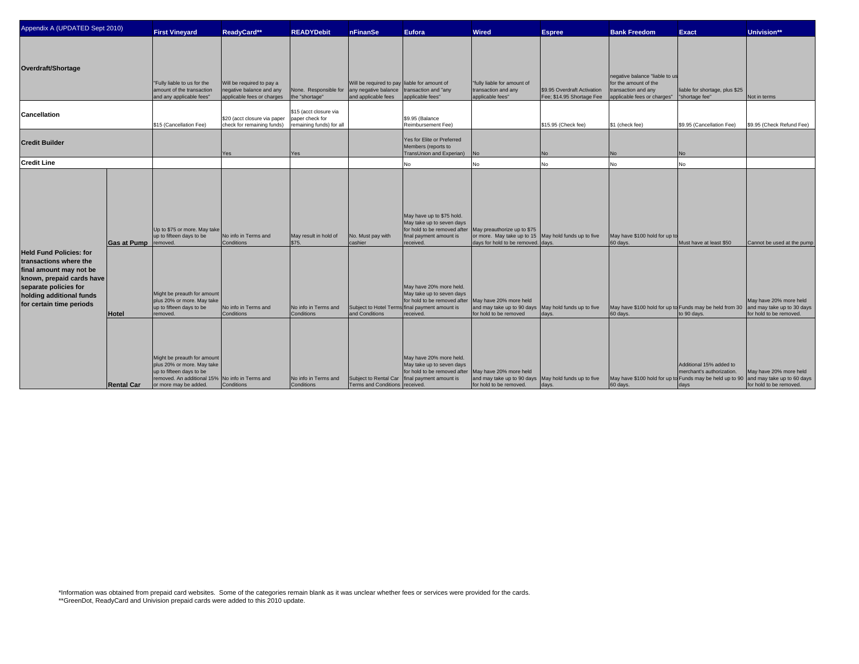| Appendix A (UPDATED Sept 2010)                                                                                                                                                                    |                            | <b>First Vineyard</b>                                                                                                                                                                                                                                                  | ReadyCard**                                                                         | <b>READYDebit</b>                                                                 | nFinanSe                                                            | Eufora                                                                                                                                                                                                                                                                                       | <b>Wired</b>                                                                                                                                                                                | <b>Espree</b>                                            | <b>Bank Freedom</b>                                                                                           | <b>Exact</b>                                                                                                                            | Univision**                                                                                                                                                        |
|---------------------------------------------------------------------------------------------------------------------------------------------------------------------------------------------------|----------------------------|------------------------------------------------------------------------------------------------------------------------------------------------------------------------------------------------------------------------------------------------------------------------|-------------------------------------------------------------------------------------|-----------------------------------------------------------------------------------|---------------------------------------------------------------------|----------------------------------------------------------------------------------------------------------------------------------------------------------------------------------------------------------------------------------------------------------------------------------------------|---------------------------------------------------------------------------------------------------------------------------------------------------------------------------------------------|----------------------------------------------------------|---------------------------------------------------------------------------------------------------------------|-----------------------------------------------------------------------------------------------------------------------------------------|--------------------------------------------------------------------------------------------------------------------------------------------------------------------|
| Overdraft/Shortage                                                                                                                                                                                |                            | "Fully liable to us for the<br>amount of the transaction<br>and any applicable fees"                                                                                                                                                                                   | Will be required to pay a<br>negative balance and any<br>applicable fees or charges | None. Responsible for any negative balance transaction and "any<br>the "shortage" | Will be required to pay liable for amount of<br>and applicable fees | applicable fees"                                                                                                                                                                                                                                                                             | "fully liable for amount of<br>transaction and any<br>applicable fees'                                                                                                                      | \$9.95 Overdraft Activation<br>Fee; \$14.95 Shortage Fee | negative balance "liable to us<br>for the amount of the<br>transaction and any<br>applicable fees or charges" | liable for shortage, plus \$25<br>"shortage fee"                                                                                        | Not in terms                                                                                                                                                       |
| Cancellation                                                                                                                                                                                      |                            | \$15 (Cancellation Fee)                                                                                                                                                                                                                                                | \$20 (acct closure via paper<br>check for remaining funds)                          | \$15 (acct closure via<br>paper check for<br>remaining funds) for all             |                                                                     | \$9.95 (Balance<br>Reimbursement Fee)                                                                                                                                                                                                                                                        |                                                                                                                                                                                             | \$15.95 (Check fee)                                      | \$1 (check fee)                                                                                               | \$9.95 (Cancellation Fee)                                                                                                               | \$9.95 (Check Refund Fee)                                                                                                                                          |
| <b>Credit Builder</b>                                                                                                                                                                             |                            |                                                                                                                                                                                                                                                                        | Yes                                                                                 | Yes                                                                               |                                                                     | Yes for Elite or Preferred<br>Members (reports to<br>TransUnion and Experian)                                                                                                                                                                                                                | No                                                                                                                                                                                          | No                                                       | N٥                                                                                                            | <b>No</b>                                                                                                                               |                                                                                                                                                                    |
| <b>Credit Line</b>                                                                                                                                                                                |                            |                                                                                                                                                                                                                                                                        |                                                                                     |                                                                                   |                                                                     | No                                                                                                                                                                                                                                                                                           | No                                                                                                                                                                                          | <b>No</b>                                                | No                                                                                                            | No                                                                                                                                      |                                                                                                                                                                    |
|                                                                                                                                                                                                   | <b>Gas at Pump</b>         | Up to \$75 or more. May take<br>up to fifteen days to be<br>removed.                                                                                                                                                                                                   | No info in Terms and<br>Conditions                                                  | May result in hold of<br>\$75.                                                    | No. Must pay with<br>cashier                                        | May have up to \$75 hold.<br>May take up to seven days<br>for hold to be removed after<br>final payment amount is<br>received.                                                                                                                                                               | May preauthorize up to \$75<br>or more. May take up to 15<br>days for hold to be removed. days.                                                                                             | May hold funds up to five                                | May have \$100 hold for up to<br>60 days.                                                                     | Must have at least \$50                                                                                                                 | Cannot be used at the pump                                                                                                                                         |
| <b>Held Fund Policies: for</b><br>transactions where the<br>final amount may not be<br>known, prepaid cards have<br>separate policies for<br>holding additional funds<br>for certain time periods | Hotel<br><b>Rental Car</b> | Might be preauth for amount<br>plus 20% or more. May take<br>up to fifteen days to be<br>removed.<br>Might be preauth for amount<br>plus 20% or more. May take<br>up to fifteen days to be<br>removed. An additional 15% No info in Terms and<br>or more may be added. | No info in Terms and<br>Conditions<br>Conditions                                    | No info in Terms and<br>Conditions<br>No info in Terms and<br>Conditions          | and Conditions<br>Terms and Conditions received.                    | May have 20% more held.<br>May take up to seven days<br>for hold to be removed after<br>Subject to Hotel Terms final payment amount is<br>received.<br>May have 20% more held.<br>May take up to seven days<br>for hold to be removed after<br>Subject to Rental Car final payment amount is | May have 20% more held<br>and may take up to 90 days<br>for hold to be removed<br>May have 20% more held<br>and may take up to 90 days May hold funds up to five<br>for hold to be removed. | May hold funds up to five<br>days.<br>days.              | May have \$100 hold for up to Funds may be held from 30<br>60 days.<br>60 days.                               | to 90 days.<br>Additional 15% added to<br>merchant's authorization.<br>May have \$100 hold for up to Funds may be held up to 90<br>days | May have 20% more held<br>and may take up to 30 days<br>for hold to be removed.<br>May have 20% more held<br>and may take up to 60 days<br>for hold to be removed. |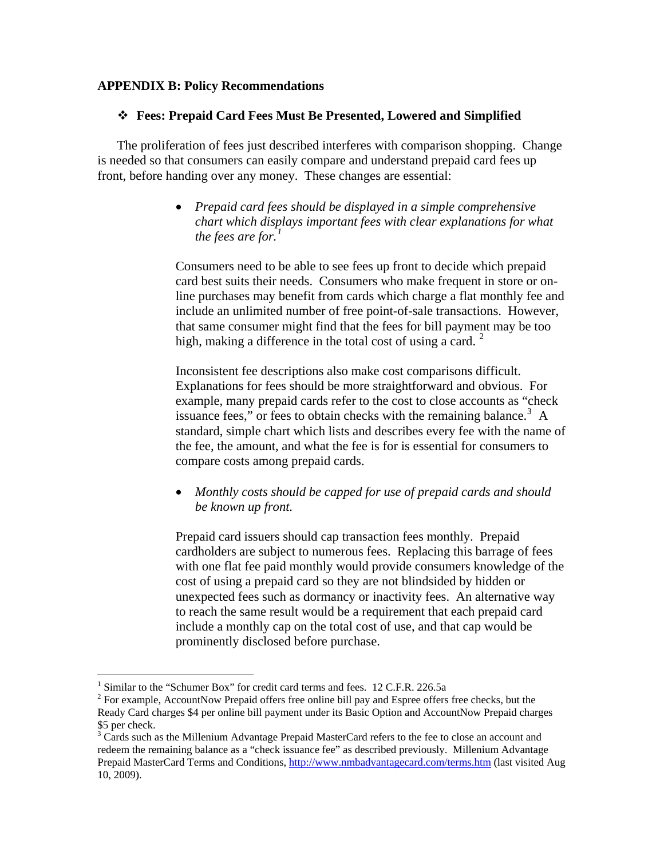# **APPENDIX B: Policy Recommendations**

# **Fees: Prepaid Card Fees Must Be Presented, Lowered and Simplified**

The proliferation of fees just described interferes with comparison shopping. Change is needed so that consumers can easily compare and understand prepaid card fees up front, before handing over any money. These changes are essential:

> • *Prepaid card fees should be displayed in a simple comprehensive chart which displays important fees with clear explanations for what the fees are for.[1](#page-25-0)*

Consumers need to be able to see fees up front to decide which prepaid card best suits their needs. Consumers who make frequent in store or online purchases may benefit from cards which charge a flat monthly fee and include an unlimited number of free point-of-sale transactions. However, that same consumer might find that the fees for bill payment may be too high, making a difference in the total cost of using a card.  $2^{\circ}$  $2^{\circ}$ 

Inconsistent fee descriptions also make cost comparisons difficult. Explanations for fees should be more straightforward and obvious. For example, many prepaid cards refer to the cost to close accounts as "check issuance fees," or fees to obtain checks with the remaining balance.<sup>[3](#page-25-2)</sup> A standard, simple chart which lists and describes every fee with the name of the fee, the amount, and what the fee is for is essential for consumers to compare costs among prepaid cards.

• *Monthly costs should be capped for use of prepaid cards and should be known up front.* 

Prepaid card issuers should cap transaction fees monthly. Prepaid cardholders are subject to numerous fees. Replacing this barrage of fees with one flat fee paid monthly would provide consumers knowledge of the cost of using a prepaid card so they are not blindsided by hidden or unexpected fees such as dormancy or inactivity fees. An alternative way to reach the same result would be a requirement that each prepaid card include a monthly cap on the total cost of use, and that cap would be prominently disclosed before purchase.

<sup>1</sup> Similar to the "Schumer Box" for credit card terms and fees. 12 C.F.R. 226.5a 2

<span id="page-25-1"></span><span id="page-25-0"></span><sup>&</sup>lt;sup>2</sup> For example, AccountNow Prepaid offers free online bill pay and Espree offers free checks, but the Ready Card charges \$4 per online bill payment under its Basic Option and AccountNow Prepaid charges \$5 per check.

<span id="page-25-2"></span><sup>&</sup>lt;sup>3</sup> Cards such as the Millenium Advantage Prepaid MasterCard refers to the fee to close an account and redeem the remaining balance as a "check issuance fee" as described previously. Millenium Advantage Prepaid MasterCard Terms and Conditions, <http://www.nmbadvantagecard.com/terms.htm>(last visited Aug 10, 2009).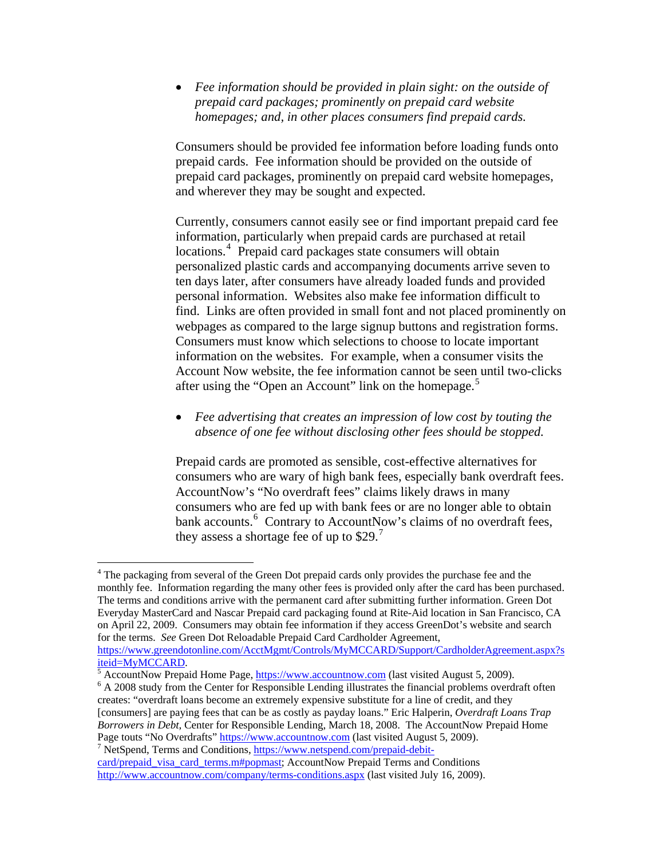• *Fee information should be provided in plain sight: on the outside of prepaid card packages; prominently on prepaid card website homepages; and, in other places consumers find prepaid cards.* 

Consumers should be provided fee information before loading funds onto prepaid cards. Fee information should be provided on the outside of prepaid card packages, prominently on prepaid card website homepages, and wherever they may be sought and expected.

Currently, consumers cannot easily see or find important prepaid card fee information, particularly when prepaid cards are purchased at retail locations.<sup>[4](#page-26-0)</sup> Prepaid card packages state consumers will obtain personalized plastic cards and accompanying documents arrive seven to ten days later, after consumers have already loaded funds and provided personal information. Websites also make fee information difficult to find. Links are often provided in small font and not placed prominently on webpages as compared to the large signup buttons and registration forms. Consumers must know which selections to choose to locate important information on the websites. For example, when a consumer visits the Account Now website, the fee information cannot be seen until two-clicks after using the "Open an Account" link on the homepage.<sup>[5](#page-26-1)</sup>

• *Fee advertising that creates an impression of low cost by touting the absence of one fee without disclosing other fees should be stopped.* 

Prepaid cards are promoted as sensible, cost-effective alternatives for consumers who are wary of high bank fees, especially bank overdraft fees. AccountNow's "No overdraft fees" claims likely draws in many consumers who are fed up with bank fees or are no longer able to obtain bank accounts.<sup>[6](#page-26-2)</sup> Contrary to AccountNow's claims of no overdraft fees, they assess a shortage fee of up to  $$29.<sup>7</sup>$  $$29.<sup>7</sup>$  $$29.<sup>7</sup>$ 

<span id="page-26-0"></span><sup>&</sup>lt;sup>4</sup> The packaging from several of the Green Dot prepaid cards only provides the purchase fee and the monthly fee. Information regarding the many other fees is provided only after the card has been purchased. The terms and conditions arrive with the permanent card after submitting further information. Green Dot Everyday MasterCard and Nascar Prepaid card packaging found at Rite-Aid location in San Francisco, CA on April 22, 2009. Consumers may obtain fee information if they access GreenDot's website and search for the terms. *See* Green Dot Reloadable Prepaid Card Cardholder Agreement,

[https://www.greendotonline.com/AcctMgmt/Controls/MyMCCARD/Support/CardholderAgreement.aspx?s](https://www.greendotonline.com/AcctMgmt/Controls/MyMCCARD/Support/CardholderAgreement.aspx?siteid=MyMCCARD) [iteid=MyMCCARD.](https://www.greendotonline.com/AcctMgmt/Controls/MyMCCARD/Support/CardholderAgreement.aspx?siteid=MyMCCARD)

 $\frac{1}{5}$  AccountNow Prepaid Home Page, [https://www.accountnow.com](https://www.accountnow.com/) (last visited August 5, 2009).

<span id="page-26-2"></span><span id="page-26-1"></span><sup>&</sup>lt;sup>6</sup> A 2008 study from the Center for Responsible Lending illustrates the financial problems overdraft often creates: "overdraft loans become an extremely expensive substitute for a line of credit, and they [consumers] are paying fees that can be as costly as payday loans." Eric Halperin, *Overdraft Loans Trap Borrowers in Debt*, Center for Responsible Lending, March 18, 2008. The AccountNow Prepaid Home Page touts "No Overdrafts" [https://www.accountnow.com](https://www.accountnow.com/) (last visited August 5, 2009). <sup>7</sup> NetSpend, Terms and Conditions, [https://www.netspend.com/prepaid-debit-](https://www.netspend.com/prepaid-debit-card/prepaid_visa_card_terms.m#popmast)

<span id="page-26-3"></span>[card/prepaid\\_visa\\_card\\_terms.m#popmast;](https://www.netspend.com/prepaid-debit-card/prepaid_visa_card_terms.m#popmast) AccountNow Prepaid Terms and Conditions <http://www.accountnow.com/company/terms-conditions.aspx> (last visited July 16, 2009).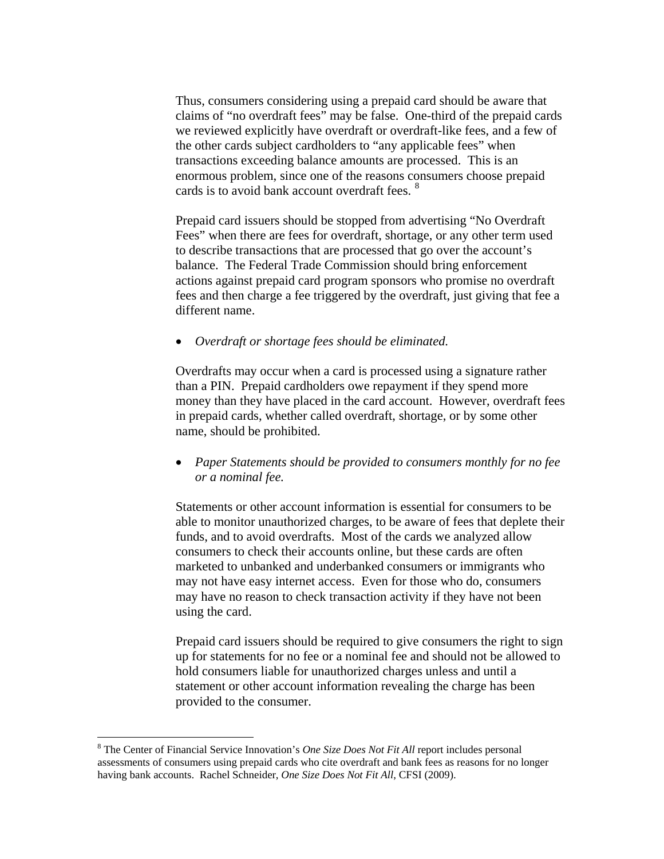Thus, consumers considering using a prepaid card should be aware that claims of "no overdraft fees" may be false. One-third of the prepaid cards we reviewed explicitly have overdraft or overdraft-like fees, and a few of the other cards subject cardholders to "any applicable fees" when transactions exceeding balance amounts are processed. This is an enormous problem, since one of the reasons consumers choose prepaid cards is to avoid bank account overdraft fees.<sup>[8](#page-27-0)</sup>

Prepaid card issuers should be stopped from advertising "No Overdraft Fees" when there are fees for overdraft, shortage, or any other term used to describe transactions that are processed that go over the account's balance. The Federal Trade Commission should bring enforcement actions against prepaid card program sponsors who promise no overdraft fees and then charge a fee triggered by the overdraft, just giving that fee a different name.

• *Overdraft or shortage fees should be eliminated.* 

Overdrafts may occur when a card is processed using a signature rather than a PIN. Prepaid cardholders owe repayment if they spend more money than they have placed in the card account. However, overdraft fees in prepaid cards, whether called overdraft, shortage, or by some other name, should be prohibited.

• *Paper Statements should be provided to consumers monthly for no fee or a nominal fee.* 

Statements or other account information is essential for consumers to be able to monitor unauthorized charges, to be aware of fees that deplete their funds, and to avoid overdrafts. Most of the cards we analyzed allow consumers to check their accounts online, but these cards are often marketed to unbanked and underbanked consumers or immigrants who may not have easy internet access. Even for those who do, consumers may have no reason to check transaction activity if they have not been using the card.

Prepaid card issuers should be required to give consumers the right to sign up for statements for no fee or a nominal fee and should not be allowed to hold consumers liable for unauthorized charges unless and until a statement or other account information revealing the charge has been provided to the consumer.

<span id="page-27-0"></span><sup>&</sup>lt;sup>8</sup> The Center of Financial Service Innovation's *One Size Does Not Fit All* report includes personal assessments of consumers using prepaid cards who cite overdraft and bank fees as reasons for no longer having bank accounts. Rachel Schneider, *One Size Does Not Fit All*, CFSI (2009).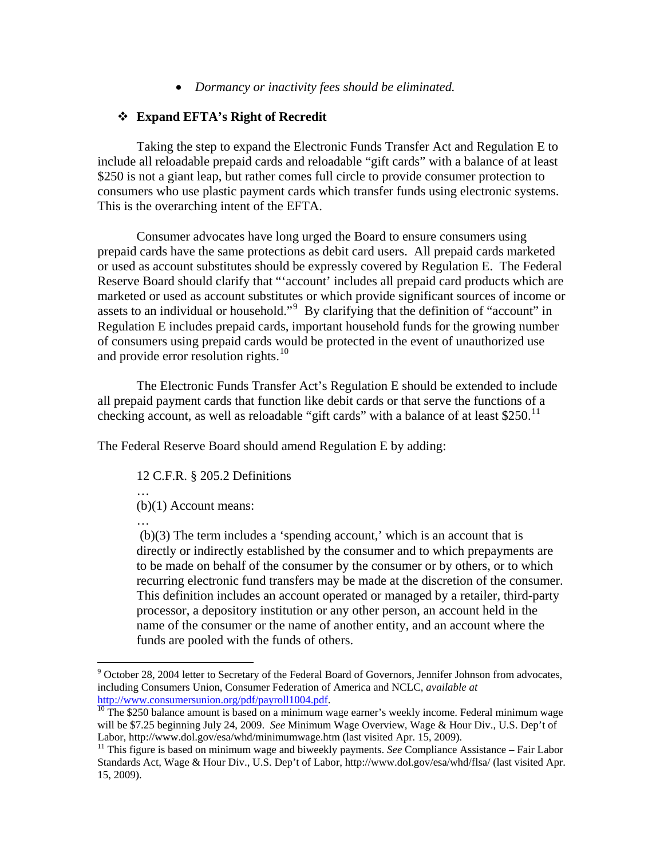• *Dormancy or inactivity fees should be eliminated.* 

## **Expand EFTA's Right of Recredit**

Taking the step to expand the Electronic Funds Transfer Act and Regulation E to include all reloadable prepaid cards and reloadable "gift cards" with a balance of at least \$250 is not a giant leap, but rather comes full circle to provide consumer protection to consumers who use plastic payment cards which transfer funds using electronic systems. This is the overarching intent of the EFTA.

Consumer advocates have long urged the Board to ensure consumers using prepaid cards have the same protections as debit card users. All prepaid cards marketed or used as account substitutes should be expressly covered by Regulation E. The Federal Reserve Board should clarify that "'account' includes all prepaid card products which are marketed or used as account substitutes or which provide significant sources of income or assets to an individual or household."<sup>[9](#page-28-0)</sup> By clarifying that the definition of "account" in Regulation E includes prepaid cards, important household funds for the growing number of consumers using prepaid cards would be protected in the event of unauthorized use and provide error resolution rights. $10$ 

The Electronic Funds Transfer Act's Regulation E should be extended to include all prepaid payment cards that function like debit cards or that serve the functions of a checking account, as well as reloadable "gift cards" with a balance of at least \$250.<sup>[11](#page-28-2)</sup>

The Federal Reserve Board should amend Regulation E by adding:

12 C.F.R. § 205.2 Definitions

… (b)(1) Account means:

…

 $\overline{a}$ 

(b)(3) The term includes a 'spending account,' which is an account that is directly or indirectly established by the consumer and to which prepayments are to be made on behalf of the consumer by the consumer or by others, or to which recurring electronic fund transfers may be made at the discretion of the consumer. This definition includes an account operated or managed by a retailer, third-party processor, a depository institution or any other person, an account held in the name of the consumer or the name of another entity, and an account where the funds are pooled with the funds of others.

<span id="page-28-0"></span><sup>&</sup>lt;sup>9</sup> October 28, 2004 letter to Secretary of the Federal Board of Governors, Jennifer Johnson from advocates, including Consumers Union, Consumer Federation of America and NCLC, *available at* <http://www.consumersunion.org/pdf/payroll1004.pdf>.<br><sup>[10](http://www.consumersunion.org/pdf/payroll1004.pdf)</sup> The \$250 balance amount is based on a minimum wage earner's weekly income. Federal minimum wage

<span id="page-28-1"></span>will be \$7.25 beginning July 24, 2009. *See* Minimum Wage Overview, Wage & Hour Div., U.S. Dep't of Labor, http://www.dol.gov/esa/whd/minimumwage.htm (last visited Apr. 15, 2009).

<span id="page-28-2"></span><sup>&</sup>lt;sup>11</sup> This figure is based on minimum wage and biweekly payments. *See* Compliance Assistance – Fair Labor Standards Act, Wage & Hour Div., U.S. Dep't of Labor, http://www.dol.gov/esa/whd/flsa/ (last visited Apr. 15, 2009).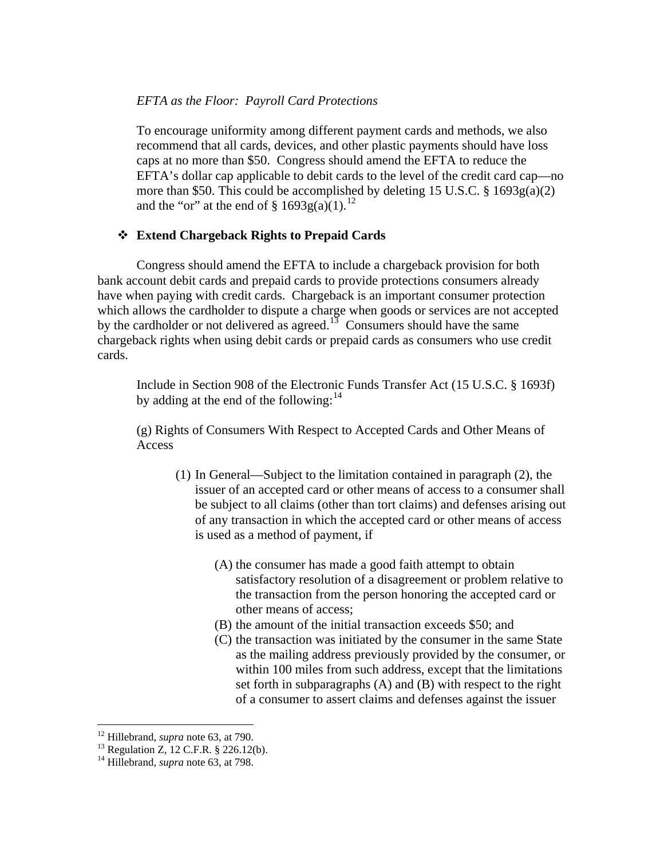# *EFTA as the Floor: Payroll Card Protections*

To encourage uniformity among different payment cards and methods, we also recommend that all cards, devices, and other plastic payments should have loss caps at no more than \$50. Congress should amend the EFTA to reduce the EFTA's dollar cap applicable to debit cards to the level of the credit card cap—no more than \$50. This could be accomplished by deleting 15 U.S.C. § 1693g(a)(2) and the "or" at the end of  $\S$  1693g(a)(1).<sup>[12](#page-29-0)</sup>

# **Extend Chargeback Rights to Prepaid Cards**

Congress should amend the EFTA to include a chargeback provision for both bank account debit cards and prepaid cards to provide protections consumers already have when paying with credit cards. Chargeback is an important consumer protection which allows the cardholder to dispute a charge when goods or services are not accepted by the cardholder or not delivered as agreed.<sup>[13](#page-29-1)</sup> Consumers should have the same chargeback rights when using debit cards or prepaid cards as consumers who use credit cards.

Include in Section 908 of the Electronic Funds Transfer Act (15 U.S.C. § 1693f) by adding at the end of the following: $^{14}$  $^{14}$  $^{14}$ 

(g) Rights of Consumers With Respect to Accepted Cards and Other Means of Access

- (1) In General—Subject to the limitation contained in paragraph (2), the issuer of an accepted card or other means of access to a consumer shall be subject to all claims (other than tort claims) and defenses arising out of any transaction in which the accepted card or other means of access is used as a method of payment, if
	- (A) the consumer has made a good faith attempt to obtain satisfactory resolution of a disagreement or problem relative to the transaction from the person honoring the accepted card or other means of access;
	- (B) the amount of the initial transaction exceeds \$50; and
	- (C) the transaction was initiated by the consumer in the same State as the mailing address previously provided by the consumer, or within 100 miles from such address, except that the limitations set forth in subparagraphs (A) and (B) with respect to the right of a consumer to assert claims and defenses against the issuer

<span id="page-29-1"></span><span id="page-29-0"></span><sup>&</sup>lt;sup>12</sup> Hillebrand, *supra* note 63, at 790.<br><sup>13</sup> Regulation Z, 12 C.F.R. § 226.12(b).

<span id="page-29-2"></span><sup>14</sup> Hillebrand, *supra* note 63, at 798.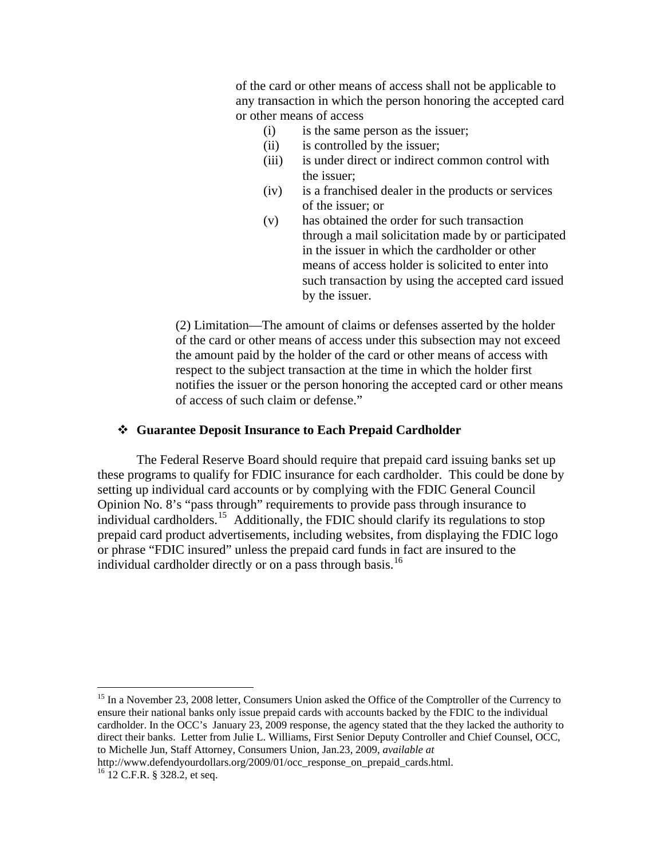of the card or other means of access shall not be applicable to any transaction in which the person honoring the accepted card or other means of access

- (i) is the same person as the issuer;
- (ii) is controlled by the issuer;
- (iii) is under direct or indirect common control with the issuer;
- (iv) is a franchised dealer in the products or services of the issuer; or
- (v) has obtained the order for such transaction through a mail solicitation made by or participated in the issuer in which the cardholder or other means of access holder is solicited to enter into such transaction by using the accepted card issued by the issuer.

(2) Limitation—The amount of claims or defenses asserted by the holder of the card or other means of access under this subsection may not exceed the amount paid by the holder of the card or other means of access with respect to the subject transaction at the time in which the holder first notifies the issuer or the person honoring the accepted card or other means of access of such claim or defense."

#### **Guarantee Deposit Insurance to Each Prepaid Cardholder**

The Federal Reserve Board should require that prepaid card issuing banks set up these programs to qualify for FDIC insurance for each cardholder. This could be done by setting up individual card accounts or by complying with the FDIC General Council Opinion No. 8's "pass through" requirements to provide pass through insurance to individual cardholders.[15](#page-30-0) Additionally, the FDIC should clarify its regulations to stop prepaid card product advertisements, including websites, from displaying the FDIC logo or phrase "FDIC insured" unless the prepaid card funds in fact are insured to the individual cardholder directly or on a pass through basis.<sup>[16](#page-30-1)</sup>

<span id="page-30-1"></span>http://www.defendyourdollars.org/2009/01/occ\_response\_on\_prepaid\_cards.html.<br><sup>16</sup> 12 C.F.R. § 328.2, et seq.

<span id="page-30-0"></span><sup>&</sup>lt;sup>15</sup> In a November 23, 2008 letter, Consumers Union asked the Office of the Comptroller of the Currency to ensure their national banks only issue prepaid cards with accounts backed by the FDIC to the individual cardholder. In the OCC's January 23, 2009 response, the agency stated that the they lacked the authority to direct their banks. Letter from Julie L. Williams, First Senior Deputy Controller and Chief Counsel, OCC, to Michelle Jun, Staff Attorney, Consumers Union, Jan.23, 2009, *available at*